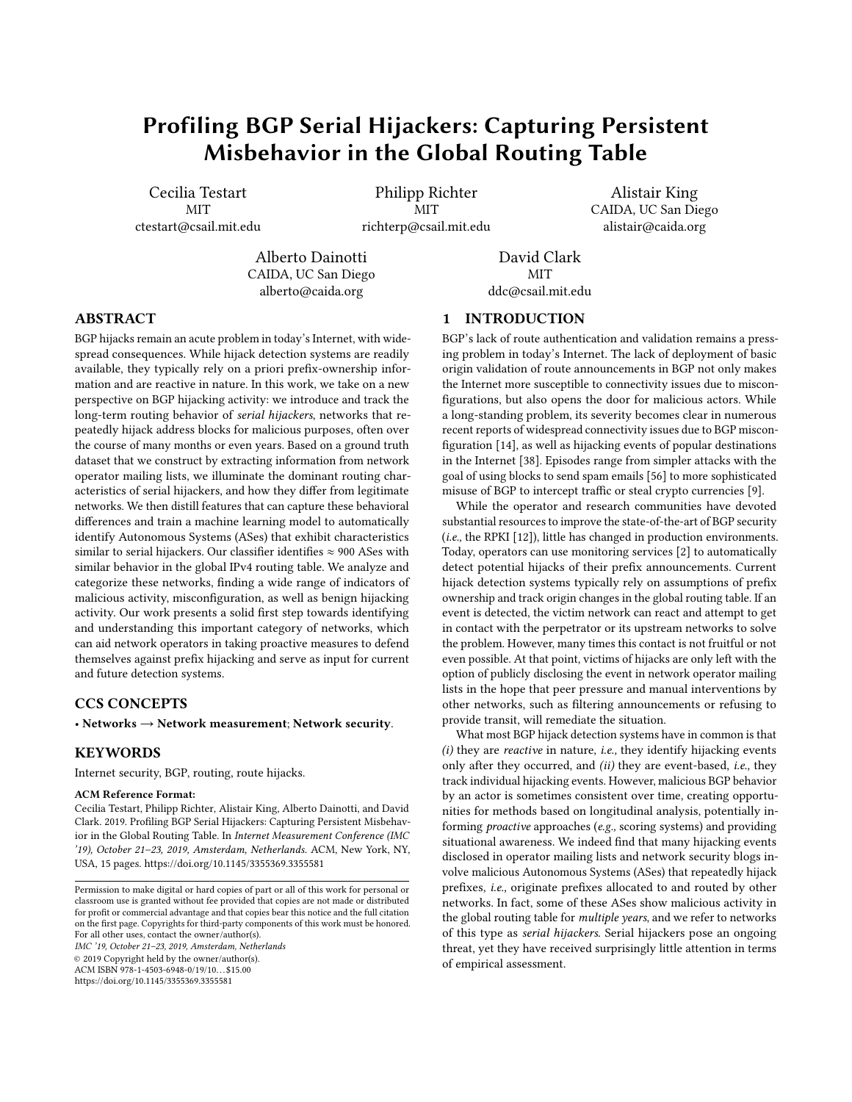# Profiling BGP Serial Hijackers: Capturing Persistent Misbehavior in the Global Routing Table

Cecilia Testart MIT ctestart@csail.mit.edu

Philipp Richter MIT richterp@csail.mit.edu

Alistair King CAIDA, UC San Diego alistair@caida.org

Alberto Dainotti CAIDA, UC San Diego alberto@caida.org

David Clark MIT ddc@csail.mit.edu

# ABSTRACT

BGP hijacks remain an acute problem in today's Internet, with widespread consequences. While hijack detection systems are readily available, they typically rely on a priori prefx-ownership information and are reactive in nature. In this work, we take on a new perspective on BGP hijacking activity: we introduce and track the long-term routing behavior of serial hijackers, networks that repeatedly hijack address blocks for malicious purposes, often over the course of many months or even years. Based on a ground truth dataset that we construct by extracting information from network operator mailing lists, we illuminate the dominant routing characteristics of serial hijackers, and how they difer from legitimate networks. We then distill features that can capture these behavioral diferences and train a machine learning model to automatically identify Autonomous Systems (ASes) that exhibit characteristics similar to serial hijackers. Our classifier identifies  $\approx$  900 ASes with similar behavior in the global IPv4 routing table. We analyze and categorize these networks, fnding a wide range of indicators of malicious activity, misconfguration, as well as benign hijacking activity. Our work presents a solid frst step towards identifying and understanding this important category of networks, which can aid network operators in taking proactive measures to defend themselves against prefx hijacking and serve as input for current and future detection systems.

# CCS CONCEPTS

• Networks  $\rightarrow$  Network measurement; Network security.

### **KEYWORDS**

Internet security, BGP, routing, route hijacks.

### ACM Reference Format:

Cecilia Testart, Philipp Richter, Alistair King, Alberto Dainotti, and David Clark. 2019. Profling BGP Serial Hijackers: Capturing Persistent Misbehavior in the Global Routing Table. In Internet Measurement Conference (IMC '19), October 21–23, 2019, Amsterdam, Netherlands. ACM, New York, NY, USA, [15](#page-14-0) pages.<https://doi.org/10.1145/3355369.3355581>

IMC '19, October 21–23, 2019, Amsterdam, Netherlands © 2019 Copyright held by the owner/author(s). ACM ISBN 978-1-4503-6948-0/19/10. . . \$15.00 <https://doi.org/10.1145/3355369.3355581>

1 INTRODUCTION

BGP's lack of route authentication and validation remains a pressing problem in today's Internet. The lack of deployment of basic origin validation of route announcements in BGP not only makes the Internet more susceptible to connectivity issues due to misconfgurations, but also opens the door for malicious actors. While a long-standing problem, its severity becomes clear in numerous recent reports of widespread connectivity issues due to BGP misconfguration [\[14\]](#page-13-0), as well as hijacking events of popular destinations in the Internet [\[38\]](#page-13-1). Episodes range from simpler attacks with the goal of using blocks to send spam emails [\[56\]](#page-14-1) to more sophisticated misuse of BGP to intercept traffic or steal crypto currencies [\[9\]](#page-13-2).

While the operator and research communities have devoted substantial resources to improve the state-of-the-art of BGP security (i.e., the RPKI [\[12\]](#page-13-3)), little has changed in production environments. Today, operators can use monitoring services [\[2\]](#page-13-4) to automatically detect potential hijacks of their prefx announcements. Current hijack detection systems typically rely on assumptions of prefx ownership and track origin changes in the global routing table. If an event is detected, the victim network can react and attempt to get in contact with the perpetrator or its upstream networks to solve the problem. However, many times this contact is not fruitful or not even possible. At that point, victims of hijacks are only left with the option of publicly disclosing the event in network operator mailing lists in the hope that peer pressure and manual interventions by other networks, such as fltering announcements or refusing to provide transit, will remediate the situation.

What most BGP hijack detection systems have in common is that  $(i)$  they are *reactive* in nature, *i.e.*, they identify hijacking events only after they occurred, and (ii) they are event-based, i.e., they track individual hijacking events. However, malicious BGP behavior by an actor is sometimes consistent over time, creating opportunities for methods based on longitudinal analysis, potentially informing proactive approaches (e.g., scoring systems) and providing situational awareness. We indeed fnd that many hijacking events disclosed in operator mailing lists and network security blogs involve malicious Autonomous Systems (ASes) that repeatedly hijack prefxes, i.e., originate prefxes allocated to and routed by other networks. In fact, some of these ASes show malicious activity in the global routing table for *multiple years*, and we refer to networks of this type as serial hijackers. Serial hijackers pose an ongoing threat, yet they have received surprisingly little attention in terms of empirical assessment.

Permission to make digital or hard copies of part or all of this work for personal or classroom use is granted without fee provided that copies are not made or distributed for proft or commercial advantage and that copies bear this notice and the full citation on the frst page. Copyrights for third-party components of this work must be honored. For all other uses, contact the owner/author(s).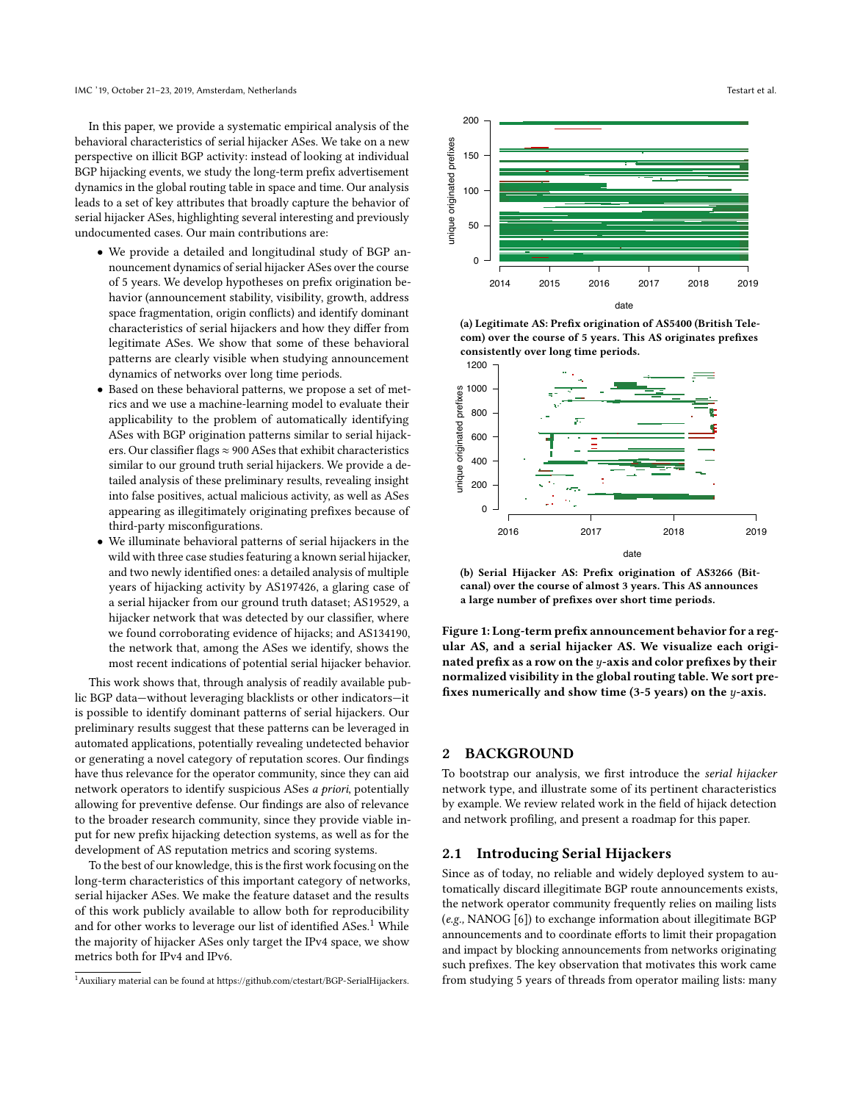In this paper, we provide a systematic empirical analysis of the behavioral characteristics of serial hijacker ASes. We take on a new perspective on illicit BGP activity: instead of looking at individual BGP hijacking events, we study the long-term prefx advertisement dynamics in the global routing table in space and time. Our analysis leads to a set of key attributes that broadly capture the behavior of serial hijacker ASes, highlighting several interesting and previously undocumented cases. Our main contributions are:

- We provide a detailed and longitudinal study of BGP announcement dynamics of serial hijacker ASes over the course of 5 years. We develop hypotheses on prefx origination behavior (announcement stability, visibility, growth, address space fragmentation, origin conficts) and identify dominant characteristics of serial hijackers and how they difer from legitimate ASes. We show that some of these behavioral patterns are clearly visible when studying announcement dynamics of networks over long time periods.
- Based on these behavioral patterns, we propose a set of metrics and we use a machine-learning model to evaluate their applicability to the problem of automatically identifying ASes with BGP origination patterns similar to serial hijackers. Our classifier flags  $\approx$  900 ASes that exhibit characteristics similar to our ground truth serial hijackers. We provide a detailed analysis of these preliminary results, revealing insight into false positives, actual malicious activity, as well as ASes appearing as illegitimately originating prefxes because of third-party misconfgurations.
- We illuminate behavioral patterns of serial hijackers in the wild with three case studies featuring a known serial hijacker, and two newly identifed ones: a detailed analysis of multiple years of hijacking activity by AS197426, a glaring case of a serial hijacker from our ground truth dataset; AS19529, a hijacker network that was detected by our classifer, where we found corroborating evidence of hijacks; and AS134190, the network that, among the ASes we identify, shows the most recent indications of potential serial hijacker behavior.

This work shows that, through analysis of readily available public BGP data—without leveraging blacklists or other indicators—it is possible to identify dominant patterns of serial hijackers. Our preliminary results suggest that these patterns can be leveraged in automated applications, potentially revealing undetected behavior or generating a novel category of reputation scores. Our fndings have thus relevance for the operator community, since they can aid network operators to identify suspicious ASes a priori, potentially allowing for preventive defense. Our fndings are also of relevance to the broader research community, since they provide viable input for new prefx hijacking detection systems, as well as for the development of AS reputation metrics and scoring systems.

To the best of our knowledge, this is the frst work focusing on the long-term characteristics of this important category of networks, serial hijacker ASes. We make the feature dataset and the results of this work publicly available to allow both for reproducibility and for other works to leverage our list of identified ASes.<sup>[1](#page-1-0)</sup> While the majority of hijacker ASes only target the IPv4 space, we show metrics both for IPv4 and IPv6.

<span id="page-1-1"></span>

(a) Legitimate AS: Prefx origination of AS5400 (British Telecom) over the course of 5 years. This AS originates prefxes consistently over long time periods.



(b) Serial Hijacker AS: Prefx origination of AS3266 (Bitcanal) over the course of almost 3 years. This AS announces a large number of prefxes over short time periods.

Figure 1: Long-term prefx announcement behavior for a regular AS, and a serial hijacker AS. We visualize each originated prefix as a row on the  $y$ -axis and color prefixes by their normalized visibility in the global routing table. We sort prefxes numerically and show time (3-5 years) on the y-axis.

# 2 BACKGROUND

To bootstrap our analysis, we frst introduce the serial hijacker network type, and illustrate some of its pertinent characteristics by example. We review related work in the feld of hijack detection and network profling, and present a roadmap for this paper.

### 2.1 Introducing Serial Hijackers

Since as of today, no reliable and widely deployed system to automatically discard illegitimate BGP route announcements exists, the network operator community frequently relies on mailing lists (e.g., NANOG [\[6\]](#page-13-5)) to exchange information about illegitimate BGP announcements and to coordinate eforts to limit their propagation and impact by blocking announcements from networks originating such prefxes. The key observation that motivates this work came from studying 5 years of threads from operator mailing lists: many

<span id="page-1-0"></span><sup>1</sup>Auxiliary material can be found at [https://github.com/ctestart/BGP-SerialHijackers.](https://github.com/ctestart/BGP-SerialHijackers)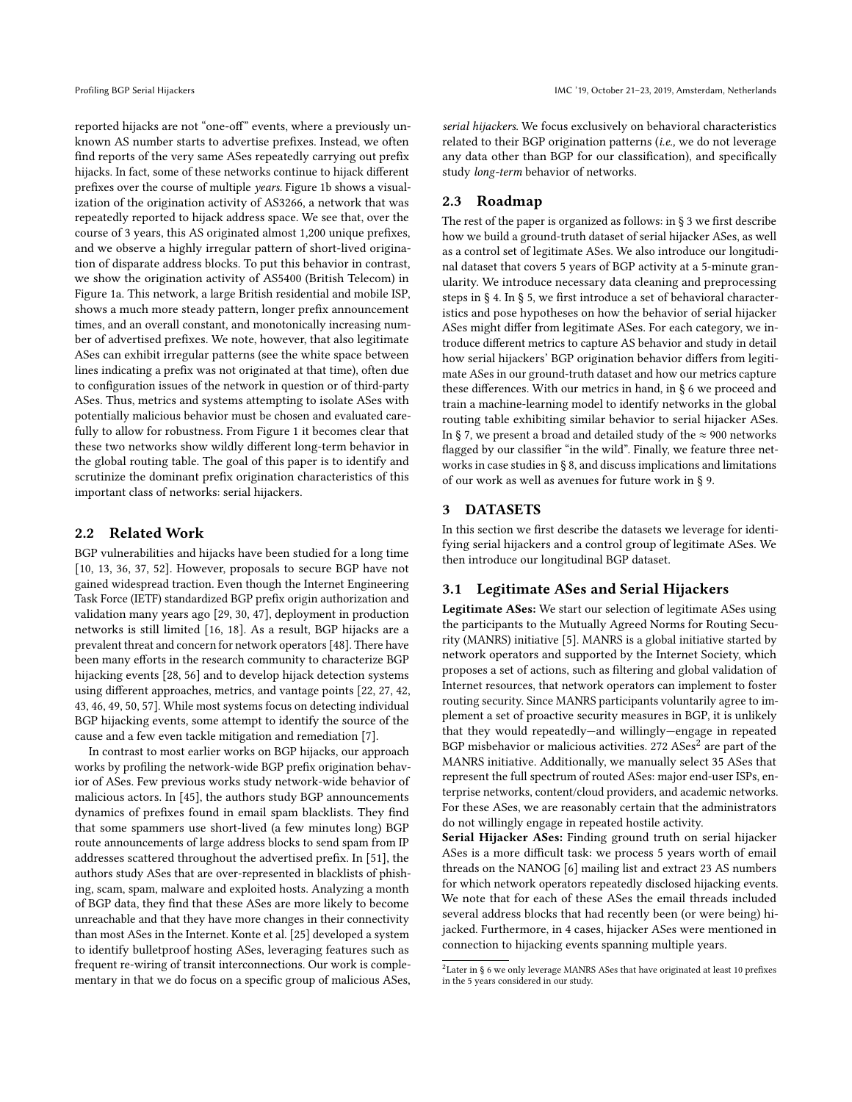reported hijacks are not "one-of" events, where a previously unknown AS number starts to advertise prefxes. Instead, we often fnd reports of the very same ASes repeatedly carrying out prefx hijacks. In fact, some of these networks continue to hijack diferent prefxes over the course of multiple years. Figure [1b](#page-1-1) shows a visualization of the origination activity of AS3266, a network that was repeatedly reported to hijack address space. We see that, over the course of 3 years, this AS originated almost 1,200 unique prefxes, and we observe a highly irregular pattern of short-lived origination of disparate address blocks. To put this behavior in contrast, we show the origination activity of AS5400 (British Telecom) in Figure [1a.](#page-1-1) This network, a large British residential and mobile ISP, shows a much more steady pattern, longer prefx announcement times, and an overall constant, and monotonically increasing number of advertised prefxes. We note, however, that also legitimate ASes can exhibit irregular patterns (see the white space between lines indicating a prefx was not originated at that time), often due to confguration issues of the network in question or of third-party ASes. Thus, metrics and systems attempting to isolate ASes with potentially malicious behavior must be chosen and evaluated carefully to allow for robustness. From Figure [1](#page-1-1) it becomes clear that these two networks show wildly diferent long-term behavior in the global routing table. The goal of this paper is to identify and scrutinize the dominant prefx origination characteristics of this important class of networks: serial hijackers.

### 2.2 Related Work

BGP vulnerabilities and hijacks have been studied for a long time [\[10,](#page-13-6) [13,](#page-13-7) [36,](#page-13-8) [37,](#page-13-9) [52\]](#page-13-10). However, proposals to secure BGP have not gained widespread traction. Even though the Internet Engineering Task Force (IETF) standardized BGP prefx origin authorization and validation many years ago [\[29,](#page-13-11) [30,](#page-13-12) [47\]](#page-13-13), deployment in production networks is still limited [\[16,](#page-13-14) [18\]](#page-13-15). As a result, BGP hijacks are a prevalent threat and concern for network operators [\[48\]](#page-13-16). There have been many efforts in the research community to characterize BGP hijacking events [\[28,](#page-13-17) [56\]](#page-14-1) and to develop hijack detection systems using diferent approaches, metrics, and vantage points [\[22,](#page-13-18) [27,](#page-13-19) [42,](#page-13-20) [43,](#page-13-21) [46,](#page-13-22) [49,](#page-13-23) [50,](#page-13-24) [57\]](#page-14-2). While most systems focus on detecting individual BGP hijacking events, some attempt to identify the source of the cause and a few even tackle mitigation and remediation [\[7\]](#page-13-25).

In contrast to most earlier works on BGP hijacks, our approach works by profling the network-wide BGP prefx origination behavior of ASes. Few previous works study network-wide behavior of malicious actors. In [\[45\]](#page-13-26), the authors study BGP announcements dynamics of prefxes found in email spam blacklists. They fnd that some spammers use short-lived (a few minutes long) BGP route announcements of large address blocks to send spam from IP addresses scattered throughout the advertised prefx. In [\[51\]](#page-13-27), the authors study ASes that are over-represented in blacklists of phishing, scam, spam, malware and exploited hosts. Analyzing a month of BGP data, they fnd that these ASes are more likely to become unreachable and that they have more changes in their connectivity than most ASes in the Internet. Konte et al. [\[25\]](#page-13-28) developed a system to identify bulletproof hosting ASes, leveraging features such as frequent re-wiring of transit interconnections. Our work is complementary in that we do focus on a specifc group of malicious ASes, serial hijackers. We focus exclusively on behavioral characteristics related to their BGP origination patterns (i.e., we do not leverage any data other than BGP for our classifcation), and specifcally study long-term behavior of networks.

# 2.3 Roadmap

The rest of the paper is organized as follows: in § [3](#page-2-0) we frst describe how we build a ground-truth dataset of serial hijacker ASes, as well as a control set of legitimate ASes. We also introduce our longitudinal dataset that covers 5 years of BGP activity at a 5-minute granularity. We introduce necessary data cleaning and preprocessing steps in § [4.](#page-3-0) In § [5,](#page--1-0) we frst introduce a set of behavioral characteristics and pose hypotheses on how the behavior of serial hijacker ASes might difer from legitimate ASes. For each category, we introduce diferent metrics to capture AS behavior and study in detail how serial hijackers' BGP origination behavior difers from legitimate ASes in our ground-truth dataset and how our metrics capture these diferences. With our metrics in hand, in § [6](#page--1-1) we proceed and train a machine-learning model to identify networks in the global routing table exhibiting similar behavior to serial hijacker ASes. In § [7,](#page-9-0) we present a broad and detailed study of the  $\approx$  900 networks fagged by our classifer "in the wild". Finally, we feature three networks in case studies in § [8,](#page-10-0) and discuss implications and limitations of our work as well as avenues for future work in § [9.](#page-12-0)

# <span id="page-2-0"></span>3 DATASETS

In this section we frst describe the datasets we leverage for identifying serial hijackers and a control group of legitimate ASes. We then introduce our longitudinal BGP dataset.

# <span id="page-2-2"></span>3.1 Legitimate ASes and Serial Hijackers

Legitimate ASes: We start our selection of legitimate ASes using the participants to the Mutually Agreed Norms for Routing Security (MANRS) initiative [\[5\]](#page-13-29). MANRS is a global initiative started by network operators and supported by the Internet Society, which proposes a set of actions, such as fltering and global validation of Internet resources, that network operators can implement to foster routing security. Since MANRS participants voluntarily agree to implement a set of proactive security measures in BGP, it is unlikely that they would repeatedly—and willingly—engage in repeated BGP misbehavior or malicious activities. [2](#page-2-1)72 ASes<sup>2</sup> are part of the MANRS initiative. Additionally, we manually select 35 ASes that represent the full spectrum of routed ASes: major end-user ISPs, enterprise networks, content/cloud providers, and academic networks. For these ASes, we are reasonably certain that the administrators do not willingly engage in repeated hostile activity.

Serial Hijacker ASes: Finding ground truth on serial hijacker ASes is a more difficult task: we process 5 years worth of email threads on the NANOG [\[6\]](#page-13-5) mailing list and extract 23 AS numbers for which network operators repeatedly disclosed hijacking events. We note that for each of these ASes the email threads included several address blocks that had recently been (or were being) hijacked. Furthermore, in 4 cases, hijacker ASes were mentioned in connection to hijacking events spanning multiple years.

<span id="page-2-1"></span> $2$ Later in § [6](#page--1-1) we only leverage MANRS ASes that have originated at least 10 prefixes in the 5 years considered in our study.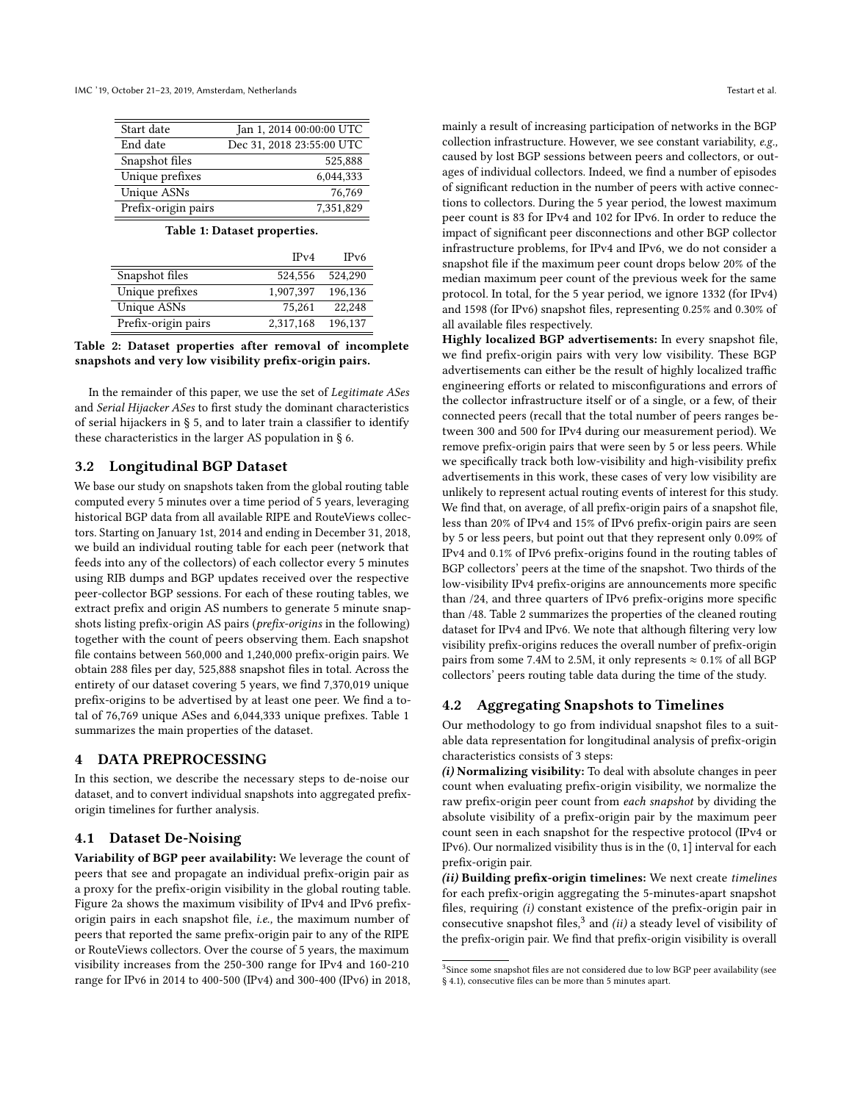<span id="page-3-1"></span>IMC '19, October 21–23, 2019, Amsterdam, Netherlands Testart et al.

| Jan 1, 2014 00:00:00 UTC  |
|---------------------------|
| Dec 31, 2018 23:55:00 UTC |
| 525,888                   |
| 6.044.333                 |
| 76,769                    |
| 7,351,829                 |
|                           |

### Table 1: Dataset properties.

<span id="page-3-2"></span>

|                     | IPv4      | IPv6    |
|---------------------|-----------|---------|
| Snapshot files      | 524,556   | 524.290 |
| Unique prefixes     | 1.907.397 | 196,136 |
| Unique ASNs         | 75.261    | 22.248  |
| Prefix-origin pairs | 2,317,168 | 196,137 |

### Table 2: Dataset properties after removal of incomplete snapshots and very low visibility prefx-origin pairs.

In the remainder of this paper, we use the set of Legitimate ASes and Serial Hijacker ASes to frst study the dominant characteristics of serial hijackers in § [5,](#page--1-0) and to later train a classifer to identify these characteristics in the larger AS population in § [6.](#page--1-1)

# 3.2 Longitudinal BGP Dataset

We base our study on snapshots taken from the global routing table computed every 5 minutes over a time period of 5 years, leveraging historical BGP data from all available RIPE and RouteViews collectors. Starting on January 1st, 2014 and ending in December 31, 2018, we build an individual routing table for each peer (network that feeds into any of the collectors) of each collector every 5 minutes using RIB dumps and BGP updates received over the respective peer-collector BGP sessions. For each of these routing tables, we extract prefx and origin AS numbers to generate 5 minute snapshots listing prefx-origin AS pairs (prefx-origins in the following) together with the count of peers observing them. Each snapshot fle contains between 560,000 and 1,240,000 prefx-origin pairs. We obtain 288 fles per day, 525,888 snapshot fles in total. Across the entirety of our dataset covering 5 years, we fnd 7,370,019 unique prefx-origins to be advertised by at least one peer. We fnd a total of 76,769 unique ASes and 6,044,333 unique prefxes. Table [1](#page-3-1) summarizes the main properties of the dataset.

# <span id="page-3-0"></span>4 DATA PREPROCESSING

In this section, we describe the necessary steps to de-noise our dataset, and to convert individual snapshots into aggregated prefxorigin timelines for further analysis.

# <span id="page-3-4"></span>4.1 Dataset De-Noising

Variability of BGP peer availability: We leverage the count of peers that see and propagate an individual prefx-origin pair as a proxy for the prefx-origin visibility in the global routing table. Figure [2a](#page--1-2) shows the maximum visibility of IPv4 and IPv6 prefxorigin pairs in each snapshot fle, i.e., the maximum number of peers that reported the same prefx-origin pair to any of the RIPE or RouteViews collectors. Over the course of 5 years, the maximum visibility increases from the 250-300 range for IPv4 and 160-210 range for IPv6 in 2014 to 400-500 (IPv4) and 300-400 (IPv6) in 2018,

mainly a result of increasing participation of networks in the BGP collection infrastructure. However, we see constant variability, e.g., caused by lost BGP sessions between peers and collectors, or outages of individual collectors. Indeed, we fnd a number of episodes of signifcant reduction in the number of peers with active connections to collectors. During the 5 year period, the lowest maximum peer count is 83 for IPv4 and 102 for IPv6. In order to reduce the impact of signifcant peer disconnections and other BGP collector infrastructure problems, for IPv4 and IPv6, we do not consider a snapshot fle if the maximum peer count drops below 20% of the median maximum peer count of the previous week for the same protocol. In total, for the 5 year period, we ignore 1332 (for IPv4) and 1598 (for IPv6) snapshot fles, representing 0.25% and 0.30% of all available fles respectively.

Highly localized BGP advertisements: In every snapshot fle, we fnd prefx-origin pairs with very low visibility. These BGP advertisements can either be the result of highly localized traffic engineering efforts or related to misconfigurations and errors of the collector infrastructure itself or of a single, or a few, of their connected peers (recall that the total number of peers ranges between 300 and 500 for IPv4 during our measurement period). We remove prefx-origin pairs that were seen by 5 or less peers. While we specifcally track both low-visibility and high-visibility prefx advertisements in this work, these cases of very low visibility are unlikely to represent actual routing events of interest for this study. We fnd that, on average, of all prefx-origin pairs of a snapshot fle, less than 20% of IPv4 and 15% of IPv6 prefx-origin pairs are seen by 5 or less peers, but point out that they represent only 0.09% of IPv4 and 0.1% of IPv6 prefx-origins found in the routing tables of BGP collectors' peers at the time of the snapshot. Two thirds of the low-visibility IPv4 prefx-origins are announcements more specifc than /24, and three quarters of IPv6 prefx-origins more specifc than /48. Table [2](#page-3-2) summarizes the properties of the cleaned routing dataset for IPv4 and IPv6. We note that although fltering very low visibility prefx-origins reduces the overall number of prefx-origin pairs from some 7.4M to 2.5M, it only represents  $\approx 0.1\%$  of all BGP collectors' peers routing table data during the time of the study.

# 4.2 Aggregating Snapshots to Timelines

Our methodology to go from individual snapshot fles to a suitable data representation for longitudinal analysis of prefx-origin characteristics consists of 3 steps:

(i) Normalizing visibility: To deal with absolute changes in peer count when evaluating prefx-origin visibility, we normalize the raw prefx-origin peer count from each snapshot by dividing the absolute visibility of a prefx-origin pair by the maximum peer count seen in each snapshot for the respective protocol (IPv4 or IPv6). Our normalized visibility thus is in the (0, 1] interval for each prefx-origin pair.

(ii) Building prefix-origin timelines: We next create timelines for each prefx-origin aggregating the 5-minutes-apart snapshot fles, requiring (i) constant existence of the prefx-origin pair in consecutive snapshot files, $3$  and (ii) a steady level of visibility of the prefx-origin pair. We fnd that prefx-origin visibility is overall

<span id="page-3-3"></span><sup>&</sup>lt;sup>3</sup>Since some snapshot files are not considered due to low BGP peer availability (see § [4.1\)](#page-3-4), consecutive fles can be more than 5 minutes apart.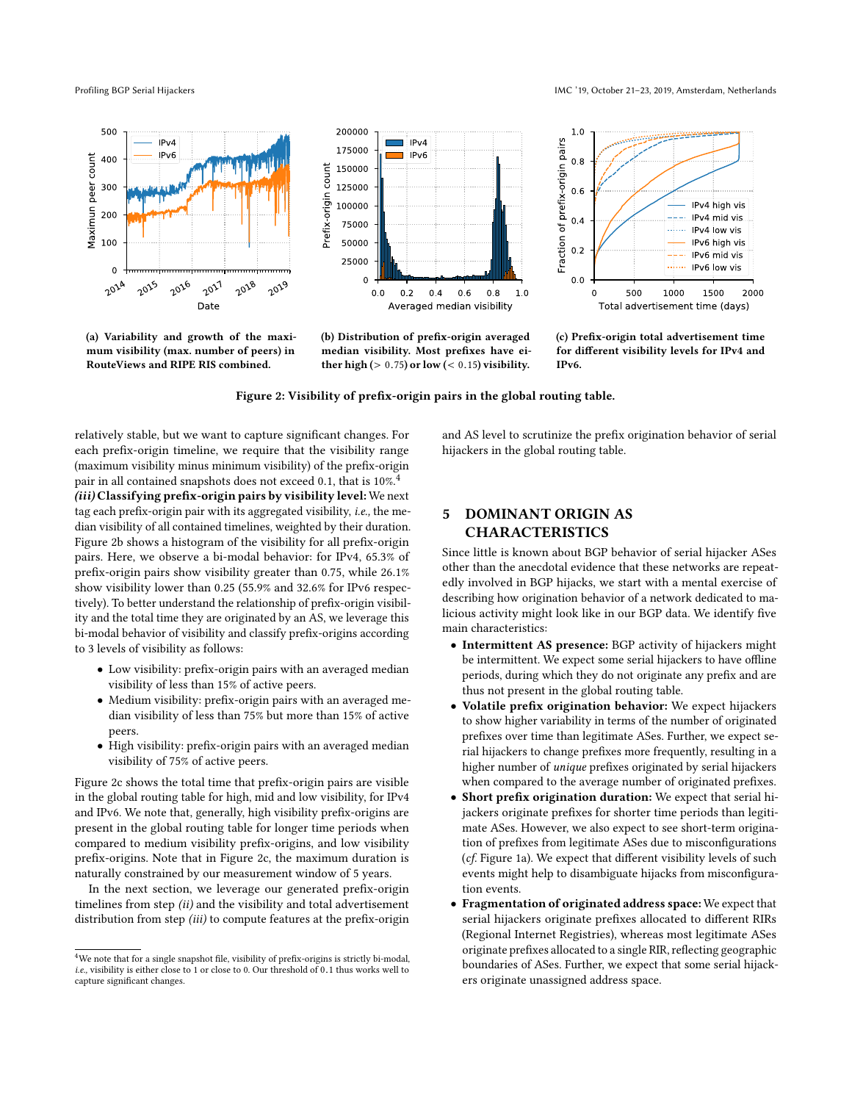

(a) Variability and growth of the maximum visibility (max. number of peers) in RouteViews and RIPE RIS combined.



(b) Distribution of prefx-origin averaged median visibility. Most prefxes have either high ( $> 0.75$ ) or low ( $< 0.15$ ) visibility.



(c) Prefx-origin total advertisement time for diferent visibility levels for IPv4 and IPv6.

Figure 2: Visibility of prefx-origin pairs in the global routing table.

relatively stable, but we want to capture signifcant changes. For each prefx-origin timeline, we require that the visibility range (maximum visibility minus minimum visibility) of the prefx-origin pair in all contained snapshots does not exceed 0.1, that is 10%.<sup>[4](#page--1-3)</sup> (iii) Classifying prefix-origin pairs by visibility level: We next tag each prefx-origin pair with its aggregated visibility, i.e., the median visibility of all contained timelines, weighted by their duration. Figure [2b](#page--1-2) shows a histogram of the visibility for all prefx-origin pairs. Here, we observe a bi-modal behavior: for IPv4, 65.3% of prefx-origin pairs show visibility greater than 0.75, while 26.1% show visibility lower than 0.25 (55.9% and 32.6% for IPv6 respectively). To better understand the relationship of prefx-origin visibility and the total time they are originated by an AS, we leverage this bi-modal behavior of visibility and classify prefx-origins according to 3 levels of visibility as follows:

- Low visibility: prefx-origin pairs with an averaged median visibility of less than 15% of active peers.
- Medium visibility: prefx-origin pairs with an averaged median visibility of less than 75% but more than 15% of active peers.
- High visibility: prefx-origin pairs with an averaged median visibility of 75% of active peers.

Figure [2c](#page--1-2) shows the total time that prefx-origin pairs are visible in the global routing table for high, mid and low visibility, for IPv4 and IPv6. We note that, generally, high visibility prefx-origins are present in the global routing table for longer time periods when compared to medium visibility prefx-origins, and low visibility prefx-origins. Note that in Figure [2c,](#page--1-2) the maximum duration is naturally constrained by our measurement window of 5 years.

In the next section, we leverage our generated prefx-origin timelines from step (ii) and the visibility and total advertisement distribution from step (iii) to compute features at the prefix-origin and AS level to scrutinize the prefx origination behavior of serial hijackers in the global routing table.

# 5 DOMINANT ORIGIN AS CHARACTERISTICS

Since little is known about BGP behavior of serial hijacker ASes other than the anecdotal evidence that these networks are repeatedly involved in BGP hijacks, we start with a mental exercise of describing how origination behavior of a network dedicated to malicious activity might look like in our BGP data. We identify fve main characteristics:

- Intermittent AS presence: BGP activity of hijackers might be intermittent. We expect some serial hijackers to have offline periods, during which they do not originate any prefx and are thus not present in the global routing table.
- Volatile prefx origination behavior: We expect hijackers to show higher variability in terms of the number of originated prefxes over time than legitimate ASes. Further, we expect serial hijackers to change prefxes more frequently, resulting in a higher number of unique prefxes originated by serial hijackers when compared to the average number of originated prefxes.
- Short prefx origination duration: We expect that serial hijackers originate prefxes for shorter time periods than legitimate ASes. However, we also expect to see short-term origination of prefxes from legitimate ASes due to misconfgurations (cf. Figure [1a\)](#page-1-1). We expect that diferent visibility levels of such events might help to disambiguate hijacks from misconfguration events.
- Fragmentation of originated address space: We expect that serial hijackers originate prefxes allocated to diferent RIRs (Regional Internet Registries), whereas most legitimate ASes originate prefxes allocated to a single RIR, refecting geographic boundaries of ASes. Further, we expect that some serial hijackers originate unassigned address space.

Profiling BGP Serial Hijackers **IMC '19, October 21-23, 2019, Amsterdam, Netherlands** 

 ${}^{4}\mathrm{We}$  note that for a single snapshot file, visibility of prefix-origins is strictly bi-modal, i.e., visibility is either close to 1 or close to 0. Our threshold of 0.1 thus works well to capture signifcant changes.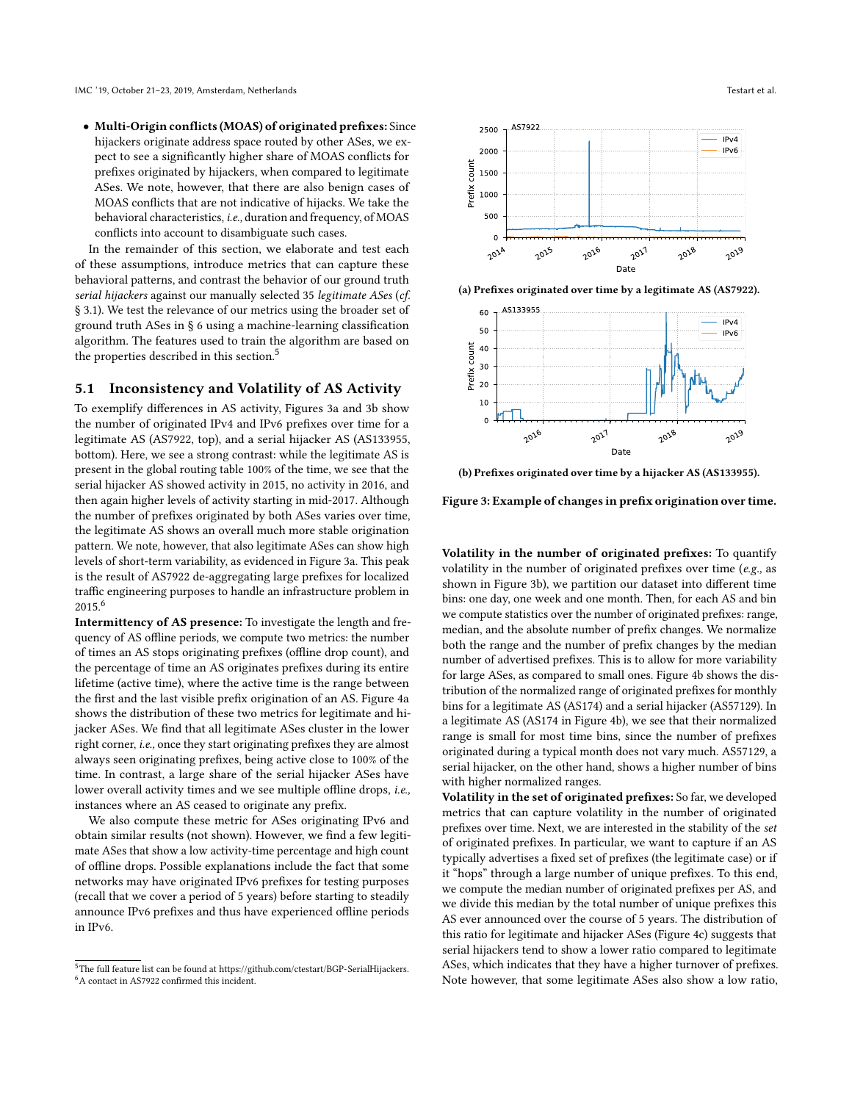• Multi-Origin conficts (MOAS) of originated prefxes: Since hijackers originate address space routed by other ASes, we expect to see a signifcantly higher share of MOAS conficts for prefxes originated by hijackers, when compared to legitimate ASes. We note, however, that there are also benign cases of MOAS conficts that are not indicative of hijacks. We take the behavioral characteristics, i.e., duration and frequency, of MOAS conficts into account to disambiguate such cases.

In the remainder of this section, we elaborate and test each of these assumptions, introduce metrics that can capture these behavioral patterns, and contrast the behavior of our ground truth serial hijackers against our manually selected 35 legitimate ASes (cf. § [3.1\)](#page-2-2). We test the relevance of our metrics using the broader set of ground truth ASes in § [6](#page--1-1) using a machine-learning classifcation algorithm. The features used to train the algorithm are based on the properties described in this section.<sup>5</sup>

# 5.1 Inconsistency and Volatility of AS Activity

To exemplify diferences in AS activity, Figures [3a](#page--1-5) and [3b](#page--1-5) show the number of originated IPv4 and IPv6 prefxes over time for a legitimate AS (AS7922, top), and a serial hijacker AS (AS133955, bottom). Here, we see a strong contrast: while the legitimate AS is present in the global routing table 100% of the time, we see that the serial hijacker AS showed activity in 2015, no activity in 2016, and then again higher levels of activity starting in mid-2017. Although the number of prefxes originated by both ASes varies over time, the legitimate AS shows an overall much more stable origination pattern. We note, however, that also legitimate ASes can show high levels of short-term variability, as evidenced in Figure [3a.](#page--1-5) This peak is the result of AS7922 de-aggregating large prefxes for localized traffic engineering purposes to handle an infrastructure problem in  $2015^{6}$ 

Intermittency of AS presence: To investigate the length and frequency of AS ofine periods, we compute two metrics: the number of times an AS stops originating prefxes (ofine drop count), and the percentage of time an AS originates prefxes during its entire lifetime (active time), where the active time is the range between the frst and the last visible prefx origination of an AS. Figure [4a](#page--1-2) shows the distribution of these two metrics for legitimate and hijacker ASes. We fnd that all legitimate ASes cluster in the lower right corner, i.e., once they start originating prefxes they are almost always seen originating prefxes, being active close to 100% of the time. In contrast, a large share of the serial hijacker ASes have lower overall activity times and we see multiple offline drops, *i.e.*, instances where an AS ceased to originate any prefx.

We also compute these metric for ASes originating IPv6 and obtain similar results (not shown). However, we fnd a few legitimate ASes that show a low activity-time percentage and high count of ofine drops. Possible explanations include the fact that some networks may have originated IPv6 prefxes for testing purposes (recall that we cover a period of 5 years) before starting to steadily announce IPv6 prefixes and thus have experienced offline periods in IPv6.



(a) Prefxes originated over time by a legitimate AS (AS7922).



(b) Prefxes originated over time by a hijacker AS (AS133955).

Figure 3: Example of changes in prefx origination over time.

Volatility in the number of originated prefxes: To quantify volatility in the number of originated prefxes over time (e.g., as shown in Figure [3b\)](#page--1-5), we partition our dataset into diferent time bins: one day, one week and one month. Then, for each AS and bin we compute statistics over the number of originated prefxes: range, median, and the absolute number of prefx changes. We normalize both the range and the number of prefx changes by the median number of advertised prefxes. This is to allow for more variability for large ASes, as compared to small ones. Figure [4b](#page--1-2) shows the distribution of the normalized range of originated prefxes for monthly bins for a legitimate AS (AS174) and a serial hijacker (AS57129). In a legitimate AS (AS174 in Figure [4b\)](#page--1-2), we see that their normalized range is small for most time bins, since the number of prefxes originated during a typical month does not vary much. AS57129, a serial hijacker, on the other hand, shows a higher number of bins with higher normalized ranges.

Volatility in the set of originated prefxes: So far, we developed metrics that can capture volatility in the number of originated prefxes over time. Next, we are interested in the stability of the set of originated prefxes. In particular, we want to capture if an AS typically advertises a fxed set of prefxes (the legitimate case) or if it "hops" through a large number of unique prefxes. To this end, we compute the median number of originated prefxes per AS, and we divide this median by the total number of unique prefxes this AS ever announced over the course of 5 years. The distribution of this ratio for legitimate and hijacker ASes (Figure [4c\)](#page--1-2) suggests that serial hijackers tend to show a lower ratio compared to legitimate ASes, which indicates that they have a higher turnover of prefxes. Note however, that some legitimate ASes also show a low ratio,

 $^{5}\mathrm{The}$  full feature list can be found at [https://github.com/ctestart/BGP-SerialHijackers.]( https://github.com/ctestart/BGP-SerialHijackers) <sup>6</sup>A contact in AS7922 confirmed this incident.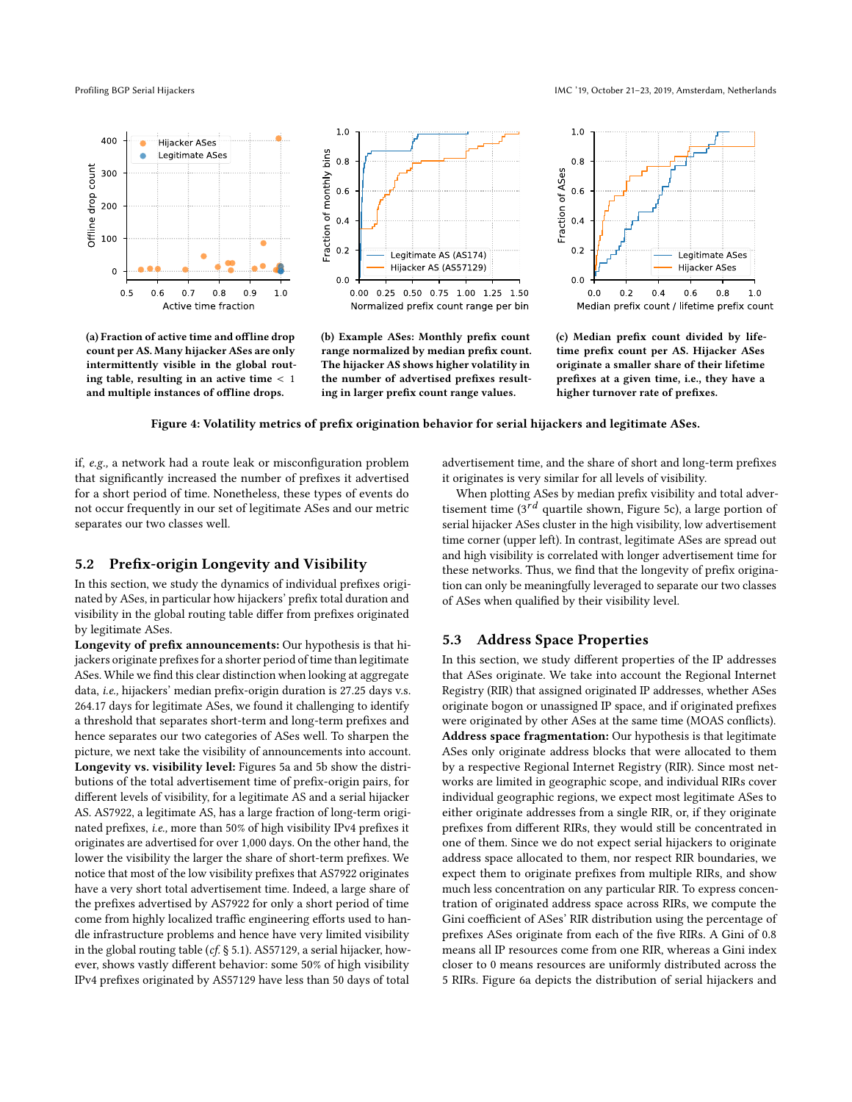400 Hijacker ASes Legitimate ASes ٠ Offline drop count 300 200 100  $\mathbf 0$  $0.8$  $0.5$  $0.6$  $0.7$  $0.9$  $1.0$ Active time fraction

(a) Fraction of active time and ofline drop count per AS. Many hijacker ASes are only intermittently visible in the global routing table, resulting in an active time < 1 and multiple instances of ofline drops.



(b) Example ASes: Monthly prefx count range normalized by median prefx count. The hijacker AS shows higher volatility in the number of advertised prefxes resulting in larger prefx count range values.

 $1.0\,$  $0.8$ Fraction of ASes  $0.6$  $0.4$  $0.2$ **Legitimate ASes** Hijacker ASes  $0<sub>0</sub>$  $0.2$  $0.4$  $0.6$  $0.8\,$  $1.0\,$  $0<sub>0</sub>$ Median prefix count / lifetime prefix count

(c) Median prefx count divided by lifetime prefx count per AS. Hijacker ASes originate a smaller share of their lifetime prefxes at a given time, i.e., they have a higher turnover rate of prefxes.

Figure 4: Volatility metrics of prefx origination behavior for serial hijackers and legitimate ASes.

if, e.g., a network had a route leak or misconfguration problem that signifcantly increased the number of prefxes it advertised for a short period of time. Nonetheless, these types of events do not occur frequently in our set of legitimate ASes and our metric separates our two classes well.

### 5.2 Prefx-origin Longevity and Visibility

In this section, we study the dynamics of individual prefxes originated by ASes, in particular how hijackers' prefx total duration and visibility in the global routing table difer from prefxes originated by legitimate ASes.

Longevity of prefx announcements: Our hypothesis is that hijackers originate prefxes for a shorter period of time than legitimate ASes. While we fnd this clear distinction when looking at aggregate data, i.e., hijackers' median prefx-origin duration is 27.25 days v.s. 264.17 days for legitimate ASes, we found it challenging to identify a threshold that separates short-term and long-term prefxes and hence separates our two categories of ASes well. To sharpen the picture, we next take the visibility of announcements into account. Longevity vs. visibility level: Figures [5a](#page--1-2) and [5b](#page--1-2) show the distributions of the total advertisement time of prefx-origin pairs, for diferent levels of visibility, for a legitimate AS and a serial hijacker AS. AS7922, a legitimate AS, has a large fraction of long-term originated prefxes, i.e., more than 50% of high visibility IPv4 prefxes it originates are advertised for over 1,000 days. On the other hand, the lower the visibility the larger the share of short-term prefxes. We notice that most of the low visibility prefxes that AS7922 originates have a very short total advertisement time. Indeed, a large share of the prefxes advertised by AS7922 for only a short period of time come from highly localized traffic engineering efforts used to handle infrastructure problems and hence have very limited visibility in the global routing table (cf. § [5.1\)](#page--1-7). AS57129, a serial hijacker, however, shows vastly diferent behavior: some 50% of high visibility IPv4 prefxes originated by AS57129 have less than 50 days of total

advertisement time, and the share of short and long-term prefxes it originates is very similar for all levels of visibility.

When plotting ASes by median prefx visibility and total advertisement time  $(3<sup>rd</sup>$  quartile shown, Figure [5c\)](#page--1-2), a large portion of serial hijacker ASes cluster in the high visibility, low advertisement time corner (upper left). In contrast, legitimate ASes are spread out and high visibility is correlated with longer advertisement time for these networks. Thus, we fnd that the longevity of prefx origination can only be meaningfully leveraged to separate our two classes of ASes when qualifed by their visibility level.

# 5.3 Address Space Properties

In this section, we study diferent properties of the IP addresses that ASes originate. We take into account the Regional Internet Registry (RIR) that assigned originated IP addresses, whether ASes originate bogon or unassigned IP space, and if originated prefxes were originated by other ASes at the same time (MOAS conficts). Address space fragmentation: Our hypothesis is that legitimate ASes only originate address blocks that were allocated to them by a respective Regional Internet Registry (RIR). Since most networks are limited in geographic scope, and individual RIRs cover individual geographic regions, we expect most legitimate ASes to either originate addresses from a single RIR, or, if they originate prefxes from diferent RIRs, they would still be concentrated in one of them. Since we do not expect serial hijackers to originate address space allocated to them, nor respect RIR boundaries, we expect them to originate prefxes from multiple RIRs, and show much less concentration on any particular RIR. To express concentration of originated address space across RIRs, we compute the Gini coefficient of ASes' RIR distribution using the percentage of prefxes ASes originate from each of the fve RIRs. A Gini of 0.8 means all IP resources come from one RIR, whereas a Gini index closer to 0 means resources are uniformly distributed across the 5 RIRs. Figure [6a](#page--1-8) depicts the distribution of serial hijackers and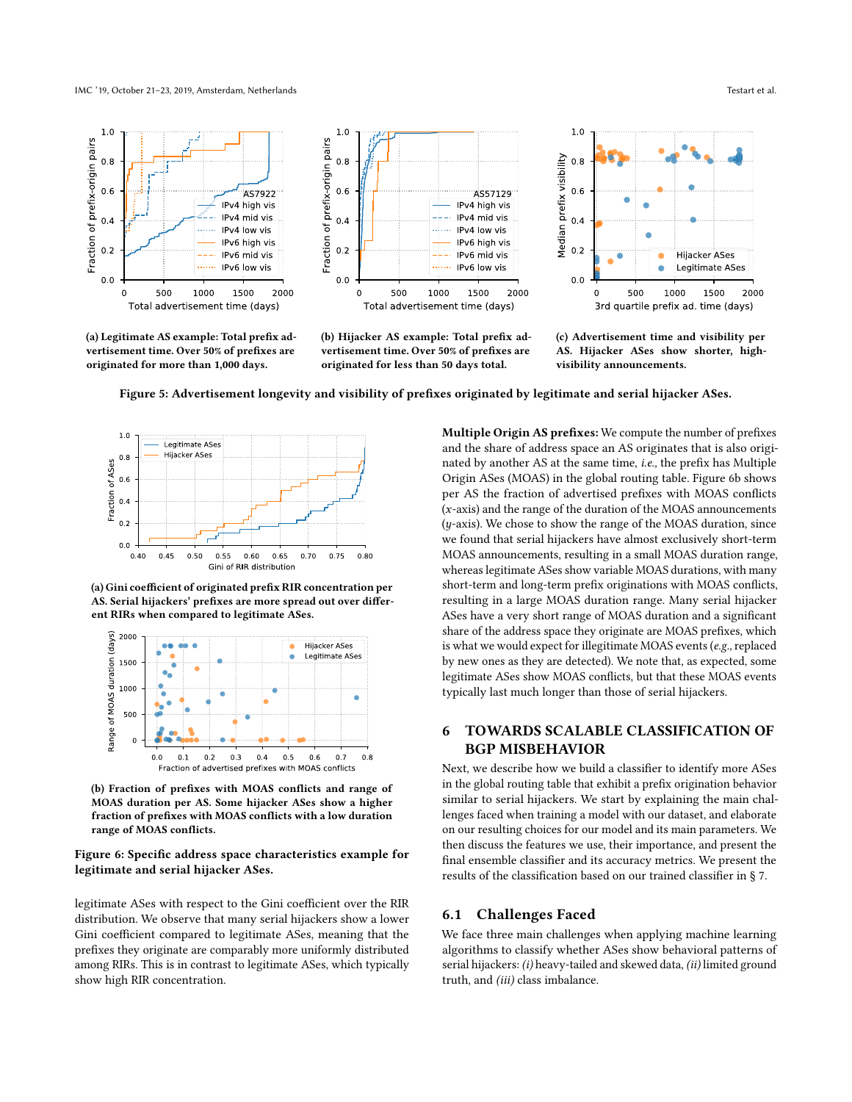#### IMC '19, October 21–23, 2019, Amsterdam, Netherlands Testart et al.



(a) Legitimate AS example: Total prefx advertisement time. Over 50% of prefxes are originated for more than 1,000 days.



(b) Hijacker AS example: Total prefx advertisement time. Over 50% of prefxes are originated for less than 50 days total.



(c) Advertisement time and visibility per AS. Hijacker ASes show shorter, highvisibility announcements.





(a) Gini coefficient of originated prefix RIR concentration per AS. Serial hijackers' prefxes are more spread out over diferent RIRs when compared to legitimate ASes.



(b) Fraction of prefxes with MOAS conficts and range of MOAS duration per AS. Some hijacker ASes show a higher fraction of prefxes with MOAS conficts with a low duration range of MOAS conficts.

### Figure 6: Specifc address space characteristics example for legitimate and serial hijacker ASes.

legitimate ASes with respect to the Gini coefficient over the RIR distribution. We observe that many serial hijackers show a lower Gini coefficient compared to legitimate ASes, meaning that the prefxes they originate are comparably more uniformly distributed among RIRs. This is in contrast to legitimate ASes, which typically show high RIR concentration.

Multiple Origin AS prefxes: We compute the number of prefxes and the share of address space an AS originates that is also originated by another AS at the same time, i.e., the prefx has Multiple Origin ASes (MOAS) in the global routing table. Figure [6b](#page--1-8) shows per AS the fraction of advertised prefxes with MOAS conficts (x-axis) and the range of the duration of the MOAS announcements (y-axis). We chose to show the range of the MOAS duration, since we found that serial hijackers have almost exclusively short-term MOAS announcements, resulting in a small MOAS duration range, whereas legitimate ASes show variable MOAS durations, with many short-term and long-term prefx originations with MOAS conficts, resulting in a large MOAS duration range. Many serial hijacker ASes have a very short range of MOAS duration and a signifcant share of the address space they originate are MOAS prefxes, which is what we would expect for illegitimate MOAS events ( $e.g.,$  replaced by new ones as they are detected). We note that, as expected, some legitimate ASes show MOAS conficts, but that these MOAS events typically last much longer than those of serial hijackers.

# 6 TOWARDS SCALABLE CLASSIFICATION OF BGP MISBEHAVIOR

Next, we describe how we build a classifer to identify more ASes in the global routing table that exhibit a prefx origination behavior similar to serial hijackers. We start by explaining the main challenges faced when training a model with our dataset, and elaborate on our resulting choices for our model and its main parameters. We then discuss the features we use, their importance, and present the fnal ensemble classifer and its accuracy metrics. We present the results of the classifcation based on our trained classifer in § [7.](#page-9-0)

# 6.1 Challenges Faced

We face three main challenges when applying machine learning algorithms to classify whether ASes show behavioral patterns of serial hijackers: (i) heavy-tailed and skewed data, (ii) limited ground truth, and (iii) class imbalance.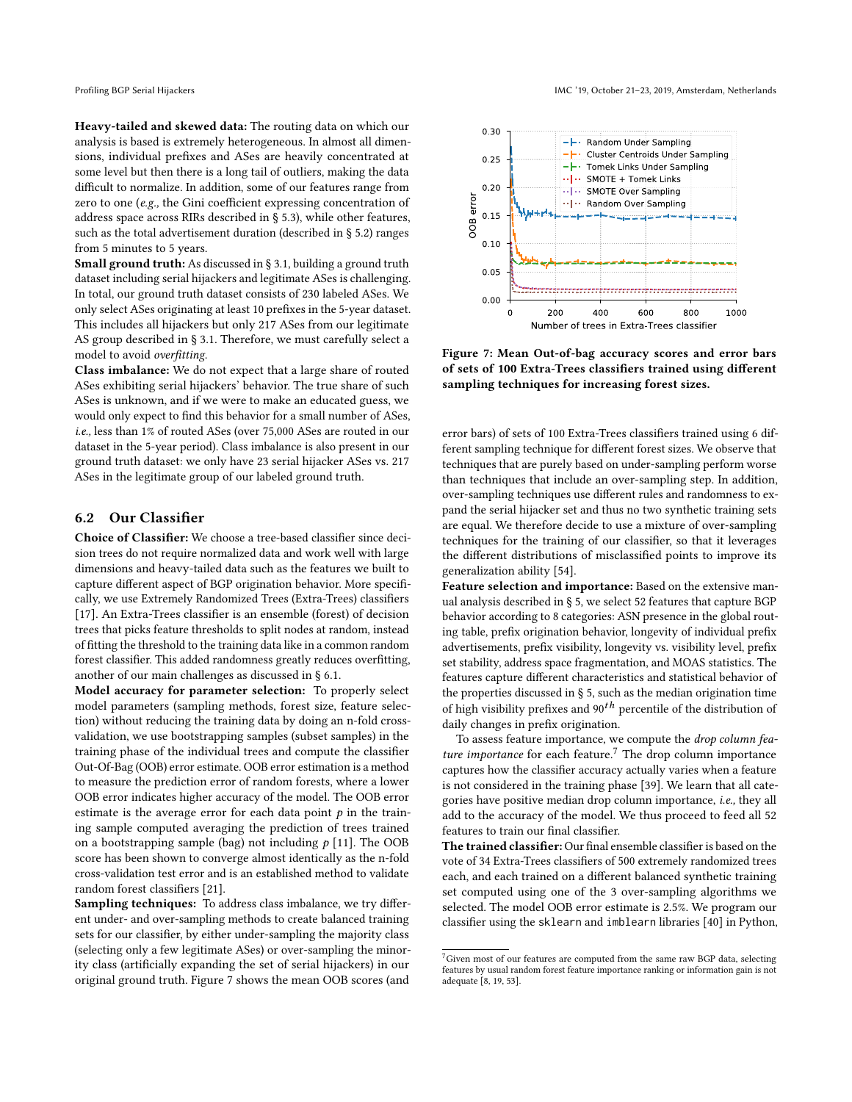Heavy-tailed and skewed data: The routing data on which our analysis is based is extremely heterogeneous. In almost all dimensions, individual prefxes and ASes are heavily concentrated at some level but then there is a long tail of outliers, making the data difficult to normalize. In addition, some of our features range from zero to one ( $e.g.,$  the Gini coefficient expressing concentration of address space across RIRs described in § [5.3\)](#page--1-9), while other features, such as the total advertisement duration (described in § [5.2\)](#page--1-10) ranges from 5 minutes to 5 years.

Small ground truth: As discussed in § [3.1,](#page-2-2) building a ground truth dataset including serial hijackers and legitimate ASes is challenging. In total, our ground truth dataset consists of 230 labeled ASes. We only select ASes originating at least 10 prefxes in the 5-year dataset. This includes all hijackers but only 217 ASes from our legitimate AS group described in § [3.1.](#page-2-2) Therefore, we must carefully select a model to avoid overftting.

Class imbalance: We do not expect that a large share of routed ASes exhibiting serial hijackers' behavior. The true share of such ASes is unknown, and if we were to make an educated guess, we would only expect to fnd this behavior for a small number of ASes, i.e., less than 1% of routed ASes (over 75,000 ASes are routed in our dataset in the 5-year period). Class imbalance is also present in our ground truth dataset: we only have 23 serial hijacker ASes vs. 217 ASes in the legitimate group of our labeled ground truth.

# 6.2 Our Classifer

Choice of Classifer: We choose a tree-based classifer since decision trees do not require normalized data and work well with large dimensions and heavy-tailed data such as the features we built to capture diferent aspect of BGP origination behavior. More specifcally, we use Extremely Randomized Trees (Extra-Trees) classifers [\[17\]](#page-13-30). An Extra-Trees classifer is an ensemble (forest) of decision trees that picks feature thresholds to split nodes at random, instead of ftting the threshold to the training data like in a common random forest classifer. This added randomness greatly reduces overftting, another of our main challenges as discussed in § [6.1.](#page--1-11)

Model accuracy for parameter selection: To properly select model parameters (sampling methods, forest size, feature selection) without reducing the training data by doing an n-fold crossvalidation, we use bootstrapping samples (subset samples) in the training phase of the individual trees and compute the classifer Out-Of-Bag (OOB) error estimate. OOB error estimation is a method to measure the prediction error of random forests, where a lower OOB error indicates higher accuracy of the model. The OOB error estimate is the average error for each data point  $p$  in the training sample computed averaging the prediction of trees trained on a bootstrapping sample (bag) not including  $p$  [\[11\]](#page-13-31). The OOB score has been shown to converge almost identically as the n-fold cross-validation test error and is an established method to validate random forest classifers [\[21\]](#page-13-32).

Sampling techniques: To address class imbalance, we try different under- and over-sampling methods to create balanced training sets for our classifer, by either under-sampling the majority class (selecting only a few legitimate ASes) or over-sampling the minority class (artifcially expanding the set of serial hijackers) in our original ground truth. Figure [7](#page--1-5) shows the mean OOB scores (and



Figure 7: Mean Out-of-bag accuracy scores and error bars of sets of 100 Extra-Trees classifers trained using diferent sampling techniques for increasing forest sizes.

error bars) of sets of 100 Extra-Trees classifers trained using 6 different sampling technique for diferent forest sizes. We observe that techniques that are purely based on under-sampling perform worse than techniques that include an over-sampling step. In addition, over-sampling techniques use diferent rules and randomness to expand the serial hijacker set and thus no two synthetic training sets are equal. We therefore decide to use a mixture of over-sampling techniques for the training of our classifer, so that it leverages the diferent distributions of misclassifed points to improve its generalization ability [\[54\]](#page-14-3).

Feature selection and importance: Based on the extensive manual analysis described in § [5,](#page--1-0) we select 52 features that capture BGP behavior according to 8 categories: ASN presence in the global routing table, prefx origination behavior, longevity of individual prefx advertisements, prefx visibility, longevity vs. visibility level, prefx set stability, address space fragmentation, and MOAS statistics. The features capture diferent characteristics and statistical behavior of the properties discussed in § [5,](#page--1-0) such as the median origination time of high visibility prefixes and  $90<sup>th</sup>$  percentile of the distribution of daily changes in prefx origination.

To assess feature importance, we compute the drop column feature importance for each feature.<sup>7</sup> The drop column importance captures how the classifer accuracy actually varies when a feature is not considered in the training phase [\[39\]](#page-13-33). We learn that all categories have positive median drop column importance, i.e., they all add to the accuracy of the model. We thus proceed to feed all 52 features to train our fnal classifer.

The trained classifer: Our fnal ensemble classifer is based on the vote of 34 Extra-Trees classifers of 500 extremely randomized trees each, and each trained on a diferent balanced synthetic training set computed using one of the 3 over-sampling algorithms we selected. The model OOB error estimate is 2.5%. We program our classifer using the sklearn and imblearn libraries [\[40\]](#page-13-34) in Python,

 ${\rm ^7}G$ iven most of our features are computed from the same raw BGP data, selecting features by usual random forest feature importance ranking or information gain is not adequate [\[8,](#page-13-35) [19,](#page-13-36) [53\]](#page-13-37).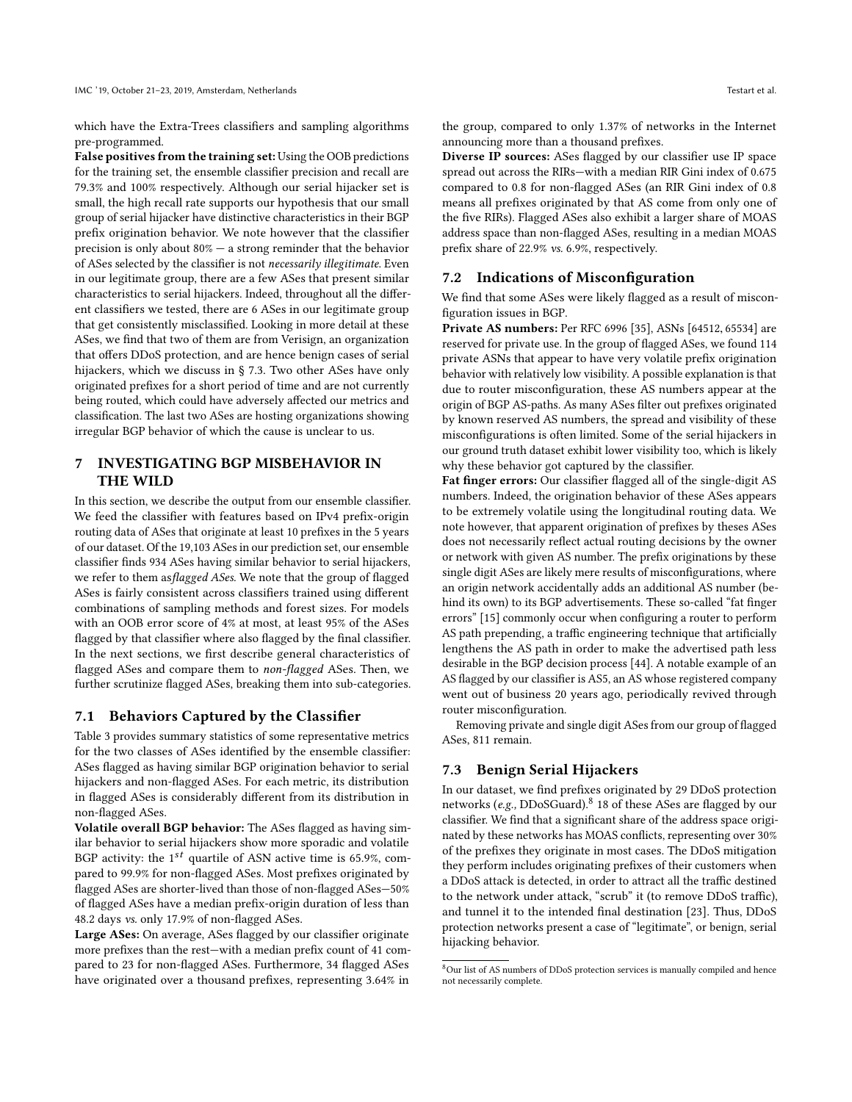which have the Extra-Trees classifers and sampling algorithms pre-programmed.

False positives from the training set: Using the OOB predictions for the training set, the ensemble classifer precision and recall are 79.3% and 100% respectively. Although our serial hijacker set is small, the high recall rate supports our hypothesis that our small group of serial hijacker have distinctive characteristics in their BGP prefx origination behavior. We note however that the classifer precision is only about  $80\%$  – a strong reminder that the behavior of ASes selected by the classifer is not necessarily illegitimate. Even in our legitimate group, there are a few ASes that present similar characteristics to serial hijackers. Indeed, throughout all the diferent classifers we tested, there are 6 ASes in our legitimate group that get consistently misclassifed. Looking in more detail at these ASes, we fnd that two of them are from Verisign, an organization that offers DDoS protection, and are hence benign cases of serial hijackers, which we discuss in § [7.3.](#page-9-1) Two other ASes have only originated prefxes for a short period of time and are not currently being routed, which could have adversely afected our metrics and classifcation. The last two ASes are hosting organizations showing irregular BGP behavior of which the cause is unclear to us.

# <span id="page-9-0"></span>7 INVESTIGATING BGP MISBEHAVIOR IN THE WILD

In this section, we describe the output from our ensemble classifer. We feed the classifer with features based on IPv4 prefx-origin routing data of ASes that originate at least 10 prefxes in the 5 years of our dataset. Of the 19,103 ASes in our prediction set, our ensemble classifer fnds 934 ASes having similar behavior to serial hijackers, we refer to them asflagged ASes. We note that the group of flagged ASes is fairly consistent across classifers trained using diferent combinations of sampling methods and forest sizes. For models with an OOB error score of 4% at most, at least 95% of the ASes flagged by that classifier where also flagged by the final classifier. In the next sections, we frst describe general characteristics of flagged ASes and compare them to non-flagged ASes. Then, we further scrutinize flagged ASes, breaking them into sub-categories.

# 7.1 Behaviors Captured by the Classifer

Table [3](#page-10-1) provides summary statistics of some representative metrics for the two classes of ASes identifed by the ensemble classifer: ASes fagged as having similar BGP origination behavior to serial hijackers and non-fagged ASes. For each metric, its distribution in fagged ASes is considerably diferent from its distribution in non-fagged ASes.

Volatile overall BGP behavior: The ASes fagged as having similar behavior to serial hijackers show more sporadic and volatile BGP activity: the  $1^{st}$  quartile of ASN active time is 65.9%, compared to 99.9% for non-fagged ASes. Most prefxes originated by flagged ASes are shorter-lived than those of non-flagged ASes-50% of fagged ASes have a median prefx-origin duration of less than 48.2 days vs. only 17.9% of non-fagged ASes.

Large ASes: On average, ASes flagged by our classifier originate more prefxes than the rest—with a median prefx count of 41 compared to 23 for non-fagged ASes. Furthermore, 34 fagged ASes have originated over a thousand prefxes, representing 3.64% in

the group, compared to only 1.37% of networks in the Internet announcing more than a thousand prefxes.

Diverse IP sources: ASes fagged by our classifer use IP space spread out across the RIRs—with a median RIR Gini index of 0.675 compared to 0.8 for non-fagged ASes (an RIR Gini index of 0.8 means all prefxes originated by that AS come from only one of the five RIRs). Flagged ASes also exhibit a larger share of MOAS address space than non-fagged ASes, resulting in a median MOAS prefx share of 22.9% vs. 6.9%, respectively.

# 7.2 Indications of Misconfguration

We fnd that some ASes were likely fagged as a result of misconfguration issues in BGP.

Private AS numbers: Per RFC 6996 [\[35\]](#page-13-38), ASNs [64512, 65534] are reserved for private use. In the group of fagged ASes, we found 114 private ASNs that appear to have very volatile prefx origination behavior with relatively low visibility. A possible explanation is that due to router misconfguration, these AS numbers appear at the origin of BGP AS-paths. As many ASes flter out prefxes originated by known reserved AS numbers, the spread and visibility of these misconfgurations is often limited. Some of the serial hijackers in our ground truth dataset exhibit lower visibility too, which is likely why these behavior got captured by the classifer.

Fat fnger errors: Our classifer fagged all of the single-digit AS numbers. Indeed, the origination behavior of these ASes appears to be extremely volatile using the longitudinal routing data. We note however, that apparent origination of prefxes by theses ASes does not necessarily refect actual routing decisions by the owner or network with given AS number. The prefx originations by these single digit ASes are likely mere results of misconfigurations, where an origin network accidentally adds an additional AS number (behind its own) to its BGP advertisements. These so-called "fat fnger errors" [\[15\]](#page-13-39) commonly occur when confguring a router to perform AS path prepending, a traffic engineering technique that artificially lengthens the AS path in order to make the advertised path less desirable in the BGP decision process [\[44\]](#page-13-40). A notable example of an AS fagged by our classifer is AS5, an AS whose registered company went out of business 20 years ago, periodically revived through router misconfguration.

Removing private and single digit ASes from our group of fagged ASes, 811 remain.

### <span id="page-9-1"></span>7.3 Benign Serial Hijackers

In our dataset, we fnd prefxes originated by 29 DDoS protection networks (e.g., DDoSGuard).<sup>[8](#page-9-2)</sup> 18 of these ASes are flagged by our classifer. We fnd that a signifcant share of the address space originated by these networks has MOAS conficts, representing over 30% of the prefxes they originate in most cases. The DDoS mitigation they perform includes originating prefxes of their customers when a DDoS attack is detected, in order to attract all the traffic destined to the network under attack, "scrub" it (to remove DDoS traffic), and tunnel it to the intended fnal destination [\[23\]](#page-13-41). Thus, DDoS protection networks present a case of "legitimate", or benign, serial hijacking behavior.

<span id="page-9-2"></span> ${}^{8}\rm{Our}$  list of AS numbers of DDoS protection services is manually compiled and hence not necessarily complete.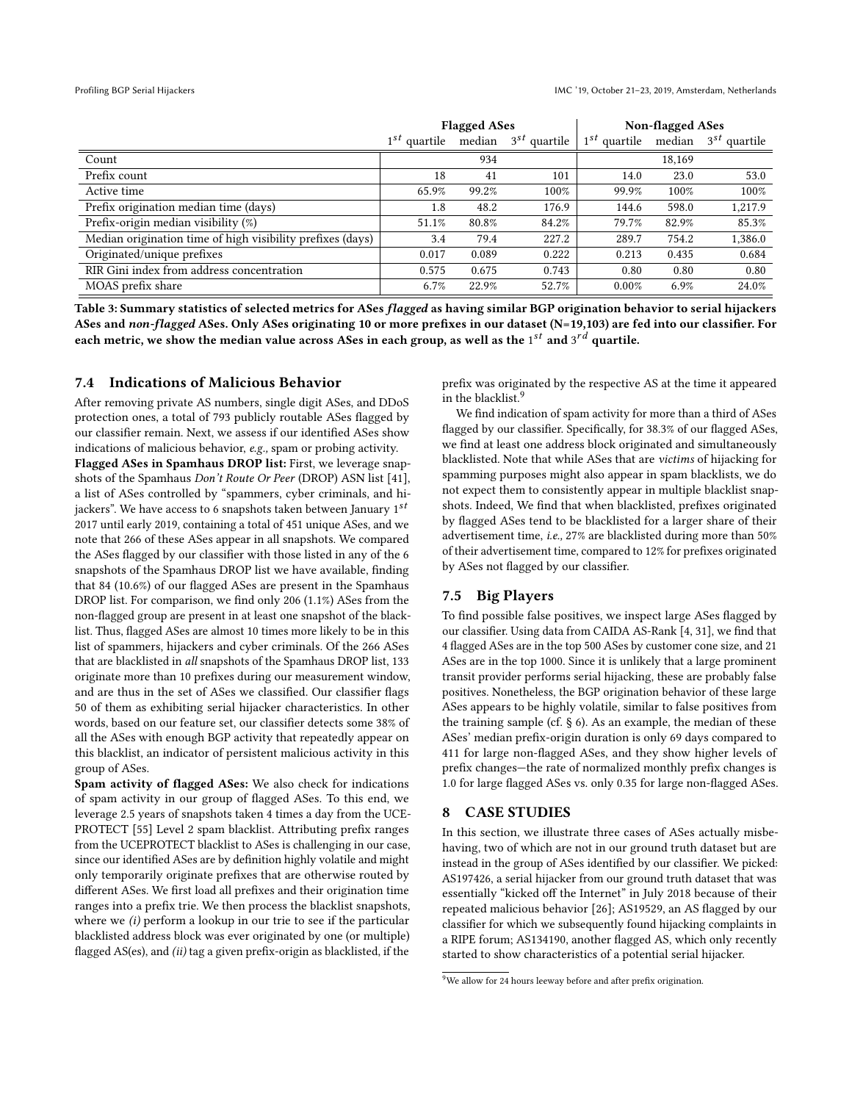<span id="page-10-1"></span>

|                                                            | <b>Flagged ASes</b> |       |                                 | <b>Non-flagged ASes</b> |        |                                            |
|------------------------------------------------------------|---------------------|-------|---------------------------------|-------------------------|--------|--------------------------------------------|
|                                                            | $1^{st}$ quartile   |       | median 3 <sup>st</sup> quartile |                         |        | $1^{st}$ quartile median $3^{st}$ quartile |
| Count                                                      |                     | 934   |                                 |                         | 18,169 |                                            |
| Prefix count                                               | 18                  | 41    | 101                             | 14.0                    | 23.0   | 53.0                                       |
| Active time                                                | 65.9%               | 99.2% | 100%                            | 99.9%                   | 100%   | 100%                                       |
| Prefix origination median time (days)                      | 1.8                 | 48.2  | 176.9                           | 144.6                   | 598.0  | 1,217.9                                    |
| Prefix-origin median visibility (%)                        | 51.1%               | 80.8% | 84.2%                           | 79.7%                   | 82.9%  | 85.3%                                      |
| Median origination time of high visibility prefixes (days) | 3.4                 | 79.4  | 227.2                           | 289.7                   | 754.2  | 1,386.0                                    |
| Originated/unique prefixes                                 | 0.017               | 0.089 | 0.222                           | 0.213                   | 0.435  | 0.684                                      |
| RIR Gini index from address concentration                  | 0.575               | 0.675 | 0.743                           | 0.80                    | 0.80   | 0.80                                       |
| MOAS prefix share                                          | 6.7%                | 22.9% | 52.7%                           | 0.00%                   | 6.9%   | 24.0%                                      |

Table 3: Summary statistics of selected metrics for ASes flagged as having similar BGP origination behavior to serial hijackers ASes and non-flagged ASes. Only ASes originating 10 or more prefixes in our dataset (N=19,103) are fed into our classifier. For each metric, we show the median value across ASes in each group, as well as the  $1^{st}$  and  $3^{rd}$  quartile.

# 7.4 Indications of Malicious Behavior

After removing private AS numbers, single digit ASes, and DDoS protection ones, a total of 793 publicly routable ASes fagged by our classifer remain. Next, we assess if our identifed ASes show indications of malicious behavior, e.g., spam or probing activity.

Flagged ASes in Spamhaus DROP list: First, we leverage snapshots of the Spamhaus Don't Route Or Peer (DROP) ASN list [\[41\]](#page-13-42), a list of ASes controlled by "spammers, cyber criminals, and hijackers". We have access to 6 snapshots taken between January  $1^{st}$ 2017 until early 2019, containing a total of 451 unique ASes, and we note that 266 of these ASes appear in all snapshots. We compared the ASes fagged by our classifer with those listed in any of the 6 snapshots of the Spamhaus DROP list we have available, fnding that 84 (10.6%) of our fagged ASes are present in the Spamhaus DROP list. For comparison, we fnd only 206 (1.1%) ASes from the non-fagged group are present in at least one snapshot of the blacklist. Thus, fagged ASes are almost 10 times more likely to be in this list of spammers, hijackers and cyber criminals. Of the 266 ASes that are blacklisted in all snapshots of the Spamhaus DROP list, 133 originate more than 10 prefxes during our measurement window, and are thus in the set of ASes we classifed. Our classifer fags 50 of them as exhibiting serial hijacker characteristics. In other words, based on our feature set, our classifer detects some 38% of all the ASes with enough BGP activity that repeatedly appear on this blacklist, an indicator of persistent malicious activity in this group of ASes.

Spam activity of flagged ASes: We also check for indications of spam activity in our group of fagged ASes. To this end, we leverage 2.5 years of snapshots taken 4 times a day from the UCE-PROTECT [\[55\]](#page-14-4) Level 2 spam blacklist. Attributing prefix ranges from the UCEPROTECT blacklist to ASes is challenging in our case, since our identifed ASes are by defnition highly volatile and might only temporarily originate prefxes that are otherwise routed by diferent ASes. We frst load all prefxes and their origination time ranges into a prefx trie. We then process the blacklist snapshots, where we *(i)* perform a lookup in our trie to see if the particular blacklisted address block was ever originated by one (or multiple) fagged AS(es), and (ii) tag a given prefx-origin as blacklisted, if the

prefx was originated by the respective AS at the time it appeared in the blacklist.<sup>[9](#page-10-2)</sup>

We fnd indication of spam activity for more than a third of ASes flagged by our classifier. Specifically, for 38.3% of our flagged ASes, we fnd at least one address block originated and simultaneously blacklisted. Note that while ASes that are victims of hijacking for spamming purposes might also appear in spam blacklists, we do not expect them to consistently appear in multiple blacklist snapshots. Indeed, We fnd that when blacklisted, prefxes originated by fagged ASes tend to be blacklisted for a larger share of their advertisement time, i.e., 27% are blacklisted during more than 50% of their advertisement time, compared to 12% for prefxes originated by ASes not fagged by our classifer.

# 7.5 Big Players

To fnd possible false positives, we inspect large ASes fagged by our classifer. Using data from CAIDA AS-Rank [\[4,](#page-13-43) [31\]](#page-13-44), we fnd that 4 fagged ASes are in the top 500 ASes by customer cone size, and 21 ASes are in the top 1000. Since it is unlikely that a large prominent transit provider performs serial hijacking, these are probably false positives. Nonetheless, the BGP origination behavior of these large ASes appears to be highly volatile, similar to false positives from the training sample (cf. § [6\)](#page--1-1). As an example, the median of these ASes' median prefx-origin duration is only 69 days compared to 411 for large non-fagged ASes, and they show higher levels of prefx changes—the rate of normalized monthly prefx changes is 1.0 for large fagged ASes vs. only 0.35 for large non-fagged ASes.

# <span id="page-10-0"></span>8 CASE STUDIES

In this section, we illustrate three cases of ASes actually misbehaving, two of which are not in our ground truth dataset but are instead in the group of ASes identifed by our classifer. We picked: AS197426, a serial hijacker from our ground truth dataset that was essentially "kicked off the Internet" in July 2018 because of their repeated malicious behavior [\[26\]](#page-13-45); AS19529, an AS fagged by our classifer for which we subsequently found hijacking complaints in a RIPE forum; AS134190, another fagged AS, which only recently started to show characteristics of a potential serial hijacker.

<span id="page-10-2"></span><sup>&</sup>lt;sup>9</sup>We allow for 24 hours leeway before and after prefix origination.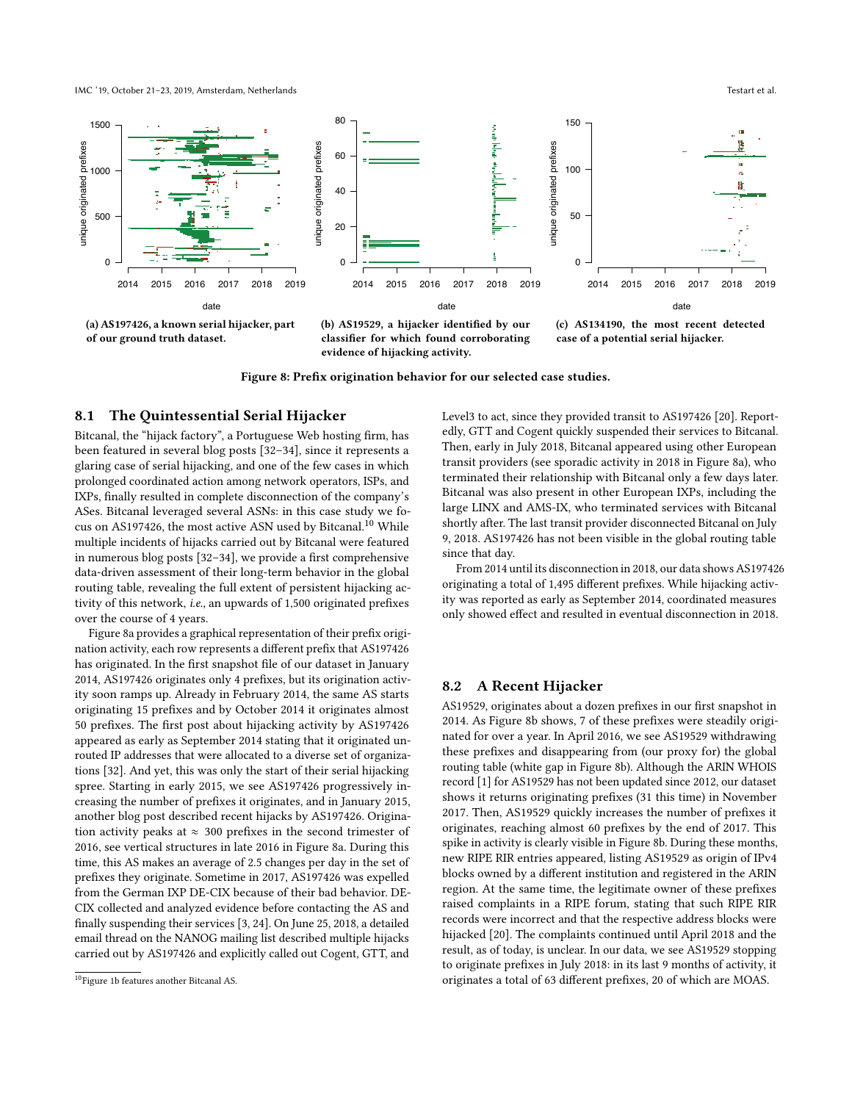IMC '19, October 21–23, 2019, Amsterdam, Netherlands Testart et al.

<span id="page-11-1"></span>

(a) AS197426, a known serial hijacker, part of our ground truth dataset.

(b) AS19529, a hijacker identifed by our classifer for which found corroborating evidence of hijacking activity.

(c) AS134190, the most recent detected case of a potential serial hijacker.

Figure 8: Prefx origination behavior for our selected case studies.

### 8.1 The Quintessential Serial Hijacker

Bitcanal, the "hijack factory", a Portuguese Web hosting frm, has been featured in several blog posts [\[32](#page-13-46)[–34\]](#page-13-47), since it represents a glaring case of serial hijacking, and one of the few cases in which prolonged coordinated action among network operators, ISPs, and IXPs, fnally resulted in complete disconnection of the company's ASes. Bitcanal leveraged several ASNs: in this case study we fo-cus on AS197426, the most active ASN used by Bitcanal.<sup>[10](#page-11-0)</sup> While multiple incidents of hijacks carried out by Bitcanal were featured in numerous blog posts [\[32–](#page-13-46)[34\]](#page-13-47), we provide a frst comprehensive data-driven assessment of their long-term behavior in the global routing table, revealing the full extent of persistent hijacking activity of this network, i.e., an upwards of 1,500 originated prefxes over the course of 4 years.

Figure [8a](#page-11-1) provides a graphical representation of their prefx origination activity, each row represents a diferent prefx that AS197426 has originated. In the frst snapshot fle of our dataset in January 2014, AS197426 originates only 4 prefxes, but its origination activity soon ramps up. Already in February 2014, the same AS starts originating 15 prefxes and by October 2014 it originates almost 50 prefxes. The frst post about hijacking activity by AS197426 appeared as early as September 2014 stating that it originated unrouted IP addresses that were allocated to a diverse set of organizations [\[32\]](#page-13-46). And yet, this was only the start of their serial hijacking spree. Starting in early 2015, we see AS197426 progressively increasing the number of prefxes it originates, and in January 2015, another blog post described recent hijacks by AS197426. Origination activity peaks at  $\approx 300$  prefixes in the second trimester of 2016, see vertical structures in late 2016 in Figure [8a.](#page-11-1) During this time, this AS makes an average of 2.5 changes per day in the set of prefxes they originate. Sometime in 2017, AS197426 was expelled from the German IXP DE-CIX because of their bad behavior. DE-CIX collected and analyzed evidence before contacting the AS and fnally suspending their services [\[3,](#page-13-48) [24\]](#page-13-49). On June 25, 2018, a detailed email thread on the NANOG mailing list described multiple hijacks carried out by AS197426 and explicitly called out Cogent, GTT, and

Level3 to act, since they provided transit to AS197426 [\[20\]](#page-13-50). Reportedly, GTT and Cogent quickly suspended their services to Bitcanal. Then, early in July 2018, Bitcanal appeared using other European transit providers (see sporadic activity in 2018 in Figure [8a\)](#page-11-1), who terminated their relationship with Bitcanal only a few days later. Bitcanal was also present in other European IXPs, including the large LINX and AMS-IX, who terminated services with Bitcanal shortly after. The last transit provider disconnected Bitcanal on July 9, 2018. AS197426 has not been visible in the global routing table since that day.

From 2014 until its disconnection in 2018, our data shows AS197426 originating a total of 1,495 diferent prefxes. While hijacking activity was reported as early as September 2014, coordinated measures only showed efect and resulted in eventual disconnection in 2018.

### 8.2 A Recent Hijacker

AS19529, originates about a dozen prefxes in our frst snapshot in 2014. As Figure [8b](#page-11-1) shows, 7 of these prefxes were steadily originated for over a year. In April 2016, we see AS19529 withdrawing these prefxes and disappearing from (our proxy for) the global routing table (white gap in Figure [8b\)](#page-11-1). Although the ARIN WHOIS record [\[1\]](#page-13-51) for AS19529 has not been updated since 2012, our dataset shows it returns originating prefxes (31 this time) in November 2017. Then, AS19529 quickly increases the number of prefxes it originates, reaching almost 60 prefxes by the end of 2017. This spike in activity is clearly visible in Figure [8b.](#page-11-1) During these months, new RIPE RIR entries appeared, listing AS19529 as origin of IPv4 blocks owned by a diferent institution and registered in the ARIN region. At the same time, the legitimate owner of these prefxes raised complaints in a RIPE forum, stating that such RIPE RIR records were incorrect and that the respective address blocks were hijacked [\[20\]](#page-13-50). The complaints continued until April 2018 and the result, as of today, is unclear. In our data, we see AS19529 stopping to originate prefxes in July 2018: in its last 9 months of activity, it originates a total of 63 diferent prefxes, 20 of which are MOAS.

<span id="page-11-0"></span><sup>10</sup>Figure [1b](#page-1-1) features another Bitcanal AS.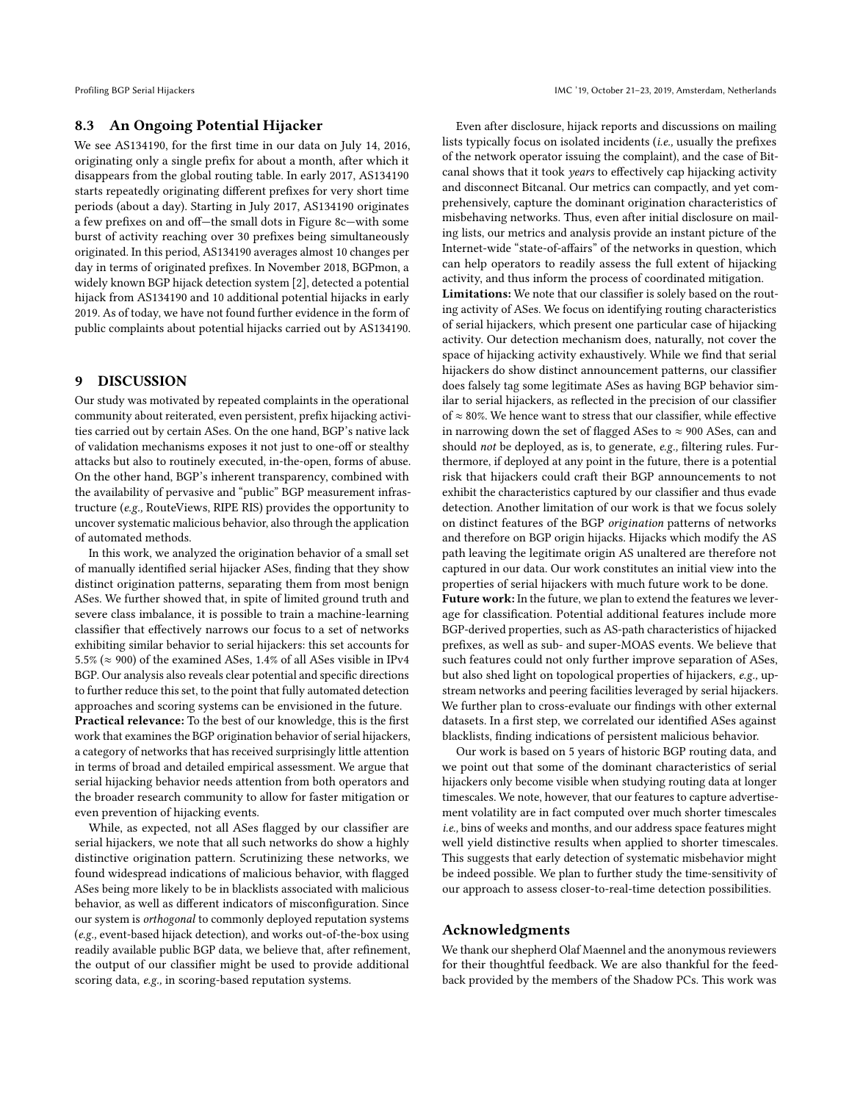# 8.3 An Ongoing Potential Hijacker

We see AS134190, for the frst time in our data on July 14, 2016, originating only a single prefx for about a month, after which it disappears from the global routing table. In early 2017, AS134190 starts repeatedly originating diferent prefxes for very short time periods (about a day). Starting in July 2017, AS134190 originates a few prefixes on and off-the small dots in Figure 8c-with some burst of activity reaching over 30 prefxes being simultaneously originated. In this period, AS134190 averages almost 10 changes per day in terms of originated prefxes. In November 2018, BGPmon, a widely known BGP hijack detection system [\[2\]](#page-13-4), detected a potential hijack from AS134190 and 10 additional potential hijacks in early 2019. As of today, we have not found further evidence in the form of public complaints about potential hijacks carried out by AS134190.

# <span id="page-12-0"></span>9 DISCUSSION

Our study was motivated by repeated complaints in the operational community about reiterated, even persistent, prefx hijacking activities carried out by certain ASes. On the one hand, BGP's native lack of validation mechanisms exposes it not just to one-of or stealthy attacks but also to routinely executed, in-the-open, forms of abuse. On the other hand, BGP's inherent transparency, combined with the availability of pervasive and "public" BGP measurement infrastructure (e.g., RouteViews, RIPE RIS) provides the opportunity to uncover systematic malicious behavior, also through the application of automated methods.

In this work, we analyzed the origination behavior of a small set of manually identifed serial hijacker ASes, fnding that they show distinct origination patterns, separating them from most benign ASes. We further showed that, in spite of limited ground truth and severe class imbalance, it is possible to train a machine-learning classifer that efectively narrows our focus to a set of networks exhibiting similar behavior to serial hijackers: this set accounts for 5.5% ( $\approx$  900) of the examined ASes, 1.4% of all ASes visible in IPv4 BGP. Our analysis also reveals clear potential and specifc directions to further reduce this set, to the point that fully automated detection approaches and scoring systems can be envisioned in the future.

Practical relevance: To the best of our knowledge, this is the frst work that examines the BGP origination behavior of serial hijackers, a category of networks that has received surprisingly little attention in terms of broad and detailed empirical assessment. We argue that serial hijacking behavior needs attention from both operators and the broader research community to allow for faster mitigation or even prevention of hijacking events.

While, as expected, not all ASes fagged by our classifer are serial hijackers, we note that all such networks do show a highly distinctive origination pattern. Scrutinizing these networks, we found widespread indications of malicious behavior, with fagged ASes being more likely to be in blacklists associated with malicious behavior, as well as diferent indicators of misconfguration. Since our system is orthogonal to commonly deployed reputation systems (e.g., event-based hijack detection), and works out-of-the-box using readily available public BGP data, we believe that, after refnement, the output of our classifer might be used to provide additional scoring data, e.g., in scoring-based reputation systems.

Even after disclosure, hijack reports and discussions on mailing lists typically focus on isolated incidents (i.e., usually the prefxes of the network operator issuing the complaint), and the case of Bitcanal shows that it took years to effectively cap hijacking activity and disconnect Bitcanal. Our metrics can compactly, and yet comprehensively, capture the dominant origination characteristics of misbehaving networks. Thus, even after initial disclosure on mailing lists, our metrics and analysis provide an instant picture of the Internet-wide "state-of-afairs" of the networks in question, which can help operators to readily assess the full extent of hijacking activity, and thus inform the process of coordinated mitigation.

Limitations: We note that our classifier is solely based on the routing activity of ASes. We focus on identifying routing characteristics of serial hijackers, which present one particular case of hijacking activity. Our detection mechanism does, naturally, not cover the space of hijacking activity exhaustively. While we fnd that serial hijackers do show distinct announcement patterns, our classifer does falsely tag some legitimate ASes as having BGP behavior similar to serial hijackers, as refected in the precision of our classifer of ≈ 80%. We hence want to stress that our classifer, while efective in narrowing down the set of flagged ASes to  $\approx$  900 ASes, can and should not be deployed, as is, to generate, e.g., fltering rules. Furthermore, if deployed at any point in the future, there is a potential risk that hijackers could craft their BGP announcements to not exhibit the characteristics captured by our classifer and thus evade detection. Another limitation of our work is that we focus solely on distinct features of the BGP origination patterns of networks and therefore on BGP origin hijacks. Hijacks which modify the AS path leaving the legitimate origin AS unaltered are therefore not captured in our data. Our work constitutes an initial view into the properties of serial hijackers with much future work to be done. Future work: In the future, we plan to extend the features we leverage for classifcation. Potential additional features include more BGP-derived properties, such as AS-path characteristics of hijacked prefxes, as well as sub- and super-MOAS events. We believe that such features could not only further improve separation of ASes,

but also shed light on topological properties of hijackers, e.g., upstream networks and peering facilities leveraged by serial hijackers. We further plan to cross-evaluate our fndings with other external datasets. In a frst step, we correlated our identifed ASes against blacklists, fnding indications of persistent malicious behavior.

Our work is based on 5 years of historic BGP routing data, and we point out that some of the dominant characteristics of serial hijackers only become visible when studying routing data at longer timescales. We note, however, that our features to capture advertisement volatility are in fact computed over much shorter timescales i.e., bins of weeks and months, and our address space features might well yield distinctive results when applied to shorter timescales. This suggests that early detection of systematic misbehavior might be indeed possible. We plan to further study the time-sensitivity of our approach to assess closer-to-real-time detection possibilities.

# Acknowledgments

We thank our shepherd Olaf Maennel and the anonymous reviewers for their thoughtful feedback. We are also thankful for the feedback provided by the members of the Shadow PCs. This work was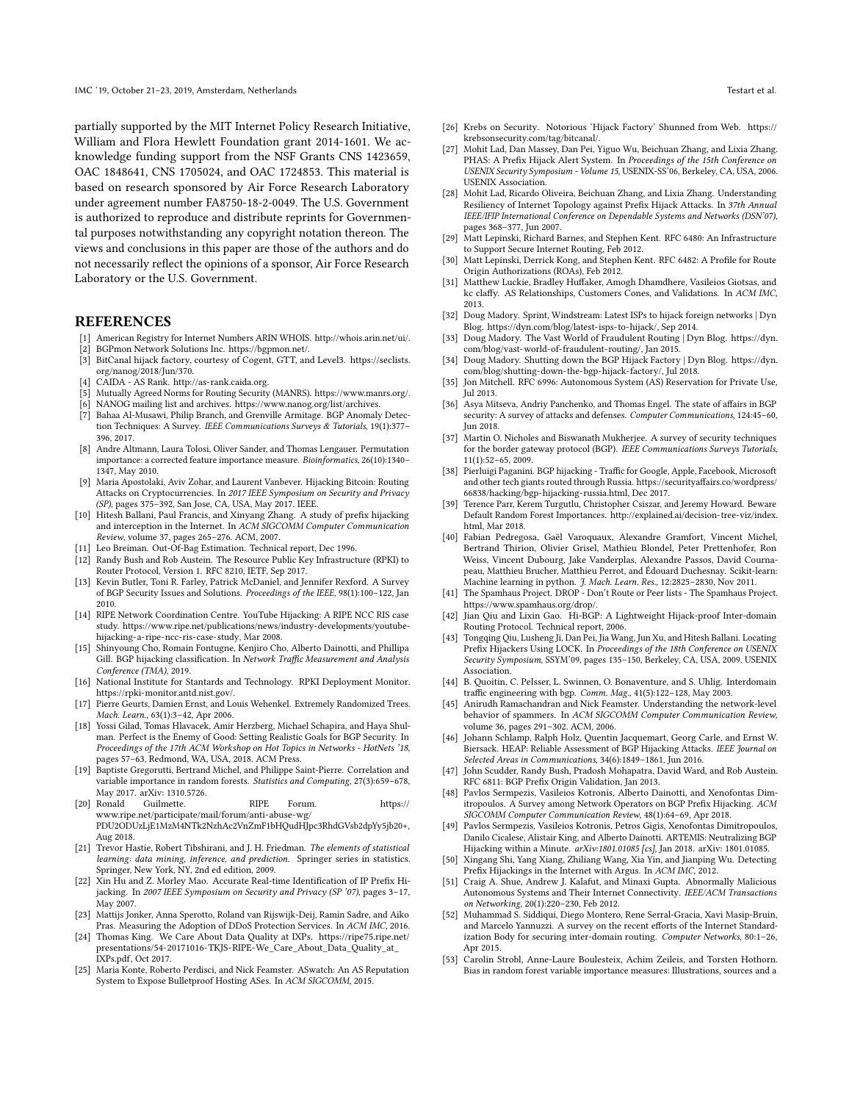partially supported by the MIT Internet Policy Research Initiative, William and Flora Hewlett Foundation grant 2014-1601. We acknowledge funding support from the NSF Grants CNS 1423659, OAC 1848641, CNS 1705024, and OAC 1724853. This material is based on research sponsored by Air Force Research Laboratory under agreement number FA8750-18-2-0049. The U.S. Government is authorized to reproduce and distribute reprints for Governmental purposes notwithstanding any copyright notation thereon. The views and conclusions in this paper are those of the authors and do not necessarily refect the opinions of a sponsor, Air Force Research Laboratory or the U.S. Government.

### REFERENCES

- <span id="page-13-51"></span>[1] American Registry for Internet Numbers ARIN WHOIS. [http://whois.arin.net/ui/.](http://whois.arin.net/ui/)
- <span id="page-13-4"></span>[2] BGPmon Network Solutions Inc. [https://bgpmon.net/.](https://bgpmon.net/)
- <span id="page-13-48"></span>[3] BitCanal hijack factory, courtesy of Cogent, GTT, and Level3. [https://seclists.](https://seclists.org/nanog/2018/Jun/370) [org/nanog/2018/Jun/370.](https://seclists.org/nanog/2018/Jun/370)
- <span id="page-13-43"></span>[4] CAIDA - AS Rank. [http://as-rank.caida.org.](http://as-rank.caida.org)
- <span id="page-13-29"></span>[5] Mutually Agreed Norms for Routing Security (MANRS). [https://www.manrs.org/.](https://www.manrs.org/)
- <span id="page-13-5"></span>NANOG mailing list and archives. [https://www.nanog.org/list/archives.](https://www.nanog.org/list/archives)
- <span id="page-13-25"></span>[7] Bahaa Al-Musawi, Philip Branch, and Grenville Armitage. BGP Anomaly Detection Techniques: A Survey. IEEE Communications Surveys & Tutorials, 19(1):377– 396, 2017.
- <span id="page-13-35"></span>[8] Andre Altmann, Laura Tolosi, Oliver Sander, and Thomas Lengauer. Permutation importance: a corrected feature importance measure. Bioinformatics, 26(10):1340– 1347, May 2010.
- <span id="page-13-2"></span>[9] Maria Apostolaki, Aviv Zohar, and Laurent Vanbever. Hijacking Bitcoin: Routing Attacks on Cryptocurrencies. In 2017 IEEE Symposium on Security and Privacy (SP), pages 375–392, San Jose, CA, USA, May 2017. IEEE.
- <span id="page-13-6"></span>[10] Hitesh Ballani, Paul Francis, and Xinyang Zhang. A study of prefix hijacking and interception in the Internet. In ACM SIGCOMM Computer Communication Review, volume 37, pages 265–276. ACM, 2007.
- <span id="page-13-31"></span><span id="page-13-3"></span>[11] Leo Breiman. Out-Of-Bag Estimation. Technical report, Dec 1996. [12] Randy Bush and Rob Austein. The Resource Public Key Infrastructure (RPKI) to Router Protocol, Version 1. RFC 8210, IETF, Sep 2017.
- <span id="page-13-7"></span>[13] Kevin Butler, Toni R. Farley, Patrick McDaniel, and Jennifer Rexford. A Survey of BGP Security Issues and Solutions. Proceedings of the IEEE, 98(1):100–122, Jan 2010.
- <span id="page-13-0"></span>[14] RIPE Network Coordination Centre. YouTube Hijacking: A RIPE NCC RIS case study. [https://www.ripe.net/publications/news/industry-developments/youtube](https://www.ripe.net/publications/news/industry-developments/youtube-hijacking-a-ripe-ncc-ris-case-study)[hijacking-a-ripe-ncc-ris-case-study,](https://www.ripe.net/publications/news/industry-developments/youtube-hijacking-a-ripe-ncc-ris-case-study) Mar 2008.
- <span id="page-13-39"></span>[15] Shinyoung Cho, Romain Fontugne, Kenjiro Cho, Alberto Dainotti, and Phillipa Gill. BGP hijacking classification. In Network Traffic Measurement and Analysis Conference (TMA), 2019.
- <span id="page-13-14"></span>[16] National Institute for Stantards and Technology. RPKI Deployment Monitor. [https://rpki-monitor.antd.nist.gov/.](https://rpki-monitor.antd.nist.gov/)
- <span id="page-13-30"></span>[17] Pierre Geurts, Damien Ernst, and Louis Wehenkel. Extremely Randomized Trees. Mach. Learn., 63(1):3–42, Apr 2006.
- <span id="page-13-15"></span>[18] Yossi Gilad, Tomas Hlavacek, Amir Herzberg, Michael Schapira, and Haya Shulman. Perfect is the Enemy of Good: Setting Realistic Goals for BGP Security. In Proceedings of the 17th ACM Workshop on Hot Topics in Networks - HotNets '18, pages 57–63, Redmond, WA, USA, 2018. ACM Press.
- <span id="page-13-36"></span>[19] Baptiste Gregorutti, Bertrand Michel, and Philippe Saint-Pierre. Correlation and variable importance in random forests. Statistics and Computing, 27(3):659–678, May 2017. arXiv: 1310.5726.
- <span id="page-13-50"></span>[20] Ronald Guilmette. RIPE Forum. [https://](https://www.ripe.net/participate/mail/forum/anti-abuse-wg/PDU2ODUzLjE1MzM4NTk2NzhAc2VnZmF1bHQudHJpc3RhdGVsb2dpYy5jb20+) [www.ripe.net/participate/mail/forum/anti-abuse-wg/](https://www.ripe.net/participate/mail/forum/anti-abuse-wg/PDU2ODUzLjE1MzM4NTk2NzhAc2VnZmF1bHQudHJpc3RhdGVsb2dpYy5jb20+)
- [PDU2ODUzLjE1MzM4NTk2NzhAc2VnZmF1bHQudHJpc3RhdGVsb2dpYy5jb20+,](https://www.ripe.net/participate/mail/forum/anti-abuse-wg/PDU2ODUzLjE1MzM4NTk2NzhAc2VnZmF1bHQudHJpc3RhdGVsb2dpYy5jb20+) Aug 2018.
- <span id="page-13-32"></span>[21] Trevor Hastie, Robert Tibshirani, and J. H. Friedman. The elements of statistical learning: data mining, inference, and prediction. Springer series in statistics. Springer, New York, NY, 2nd ed edition, 2009.
- <span id="page-13-18"></span>[22] Xin Hu and Z. Morley Mao. Accurate Real-time Identifcation of IP Prefx Hijacking. In 2007 IEEE Symposium on Security and Privacy (SP '07), pages 3-17, May 2007.
- <span id="page-13-41"></span>[23] Mattijs Jonker, Anna Sperotto, Roland van Rijswijk-Deij, Ramin Sadre, and Aiko Pras. Measuring the Adoption of DDoS Protection Services. In ACM IMC, 2016.
- <span id="page-13-49"></span>[24] Thomas King. We Care About Data Quality at IXPs. [https://ripe75.ripe.net/](https://ripe75.ripe.net/presentations/54-20171016-TKJS-RIPE-We_Care_About_Data_Quality_at_IXPs.pdf) [presentations/54-20171016-TKJS-RIPE-We\\_Care\\_About\\_Data\\_Quality\\_at\\_](https://ripe75.ripe.net/presentations/54-20171016-TKJS-RIPE-We_Care_About_Data_Quality_at_IXPs.pdf) [IXPs.pdf,](https://ripe75.ripe.net/presentations/54-20171016-TKJS-RIPE-We_Care_About_Data_Quality_at_IXPs.pdf) Oct 2017.
- <span id="page-13-28"></span>[25] Maria Konte, Roberto Perdisci, and Nick Feamster. ASwatch: An AS Reputation System to Expose Bulletproof Hosting ASes. In ACM SIGCOMM, 2015.
- <span id="page-13-45"></span>[26] Krebs on Security. Notorious 'Hijack Factory' Shunned from Web. [https://](https://krebsonsecurity.com/tag/bitcanal/) [krebsonsecurity.com/tag/bitcanal/.](https://krebsonsecurity.com/tag/bitcanal/)
- <span id="page-13-19"></span>[27] Mohit Lad, Dan Massey, Dan Pei, Yiguo Wu, Beichuan Zhang, and Lixia Zhang. PHAS: A Prefx Hijack Alert System. In Proceedings of the 15th Conference on USENIX Security Symposium - Volume 15, USENIX-SS'06, Berkeley, CA, USA, 2006. USENIX Association.
- <span id="page-13-17"></span>[28] Mohit Lad, Ricardo Oliveira, Beichuan Zhang, and Lixia Zhang. Understanding Resiliency of Internet Topology against Prefx Hijack Attacks. In 37th Annual IEEE/IFIP International Conference on Dependable Systems and Networks (DSN'07), pages 368–377, Jun 2007.
- <span id="page-13-11"></span>[29] Matt Lepinski, Richard Barnes, and Stephen Kent. RFC 6480: An Infrastructure to Support Secure Internet Routing, Feb 2012.
- <span id="page-13-12"></span>[30] Matt Lepinski, Derrick Kong, and Stephen Kent. RFC 6482: A Profle for Route Origin Authorizations (ROAs), Feb 2012.
- <span id="page-13-44"></span>[31] Matthew Luckie, Bradley Hufaker, Amogh Dhamdhere, Vasileios Giotsas, and kc clafy. AS Relationships, Customers Cones, and Validations. In ACM IMC, 2013.
- <span id="page-13-46"></span>[32] Doug Madory. Sprint, Windstream: Latest ISPs to hijack foreign networks | Dyn Blog. [https://dyn.com/blog/latest-isps-to-hijack/,](https://dyn.com/blog/latest-isps-to-hijack/) Sep 2014.
- [33] Doug Madory. The Vast World of Fraudulent Routing | Dyn Blog. [https://dyn.](https://dyn.com/blog/vast-world-of-fraudulent-routing/) [com/blog/vast-world-of-fraudulent-routing/,](https://dyn.com/blog/vast-world-of-fraudulent-routing/) Jan 2015.
- <span id="page-13-47"></span>[34] Doug Madory. Shutting down the BGP Hijack Factory | Dyn Blog. [https://dyn.](https://dyn.com/blog/shutting-down-the-bgp-hijack-factory/) [com/blog/shutting-down-the-bgp-hijack-factory/,](https://dyn.com/blog/shutting-down-the-bgp-hijack-factory/) Jul 2018.
- <span id="page-13-38"></span>[35] Jon Mitchell. RFC 6996: Autonomous System (AS) Reservation for Private Use, Jul 2013.
- <span id="page-13-8"></span>[36] Asya Mitseva, Andriy Panchenko, and Thomas Engel. The state of affairs in BGP security: A survey of attacks and defenses. Computer Communications, 124:45–60, Jun 2018.
- <span id="page-13-9"></span>[37] Martin O. Nicholes and Biswanath Mukherjee. A survey of security techniques for the border gateway protocol (BGP). IEEE Communications Surveys Tutorials, 11(1):52–65, 2009.
- <span id="page-13-1"></span>[38] Pierluigi Paganini. BGP hijacking - Traffic for Google, Apple, Facebook, Microsoft and other tech giants routed through Russia. [https://securityafairs.co/wordpress/](https://securityaffairs.co/wordpress/66838/hacking/bgp-hijacking-russia.html) [66838/hacking/bgp-hijacking-russia.html,](https://securityaffairs.co/wordpress/66838/hacking/bgp-hijacking-russia.html) Dec 2017.
- <span id="page-13-33"></span>[39] Terence Parr, Kerem Turgutlu, Christopher Csiszar, and Jeremy Howard, Beware Default Random Forest Importances. [http://explained.ai/decision-tree-viz/index.](http://explained.ai/decision-tree-viz/index.html) [html,](http://explained.ai/decision-tree-viz/index.html) Mar 2018.
- <span id="page-13-34"></span>[40] Fabian Pedregosa, Gaël Varoquaux, Alexandre Gramfort, Vincent Michel, Bertrand Thirion, Olivier Grisel, Mathieu Blondel, Peter Prettenhofer, Ron Weiss, Vincent Dubourg, Jake Vanderplas, Alexandre Passos, David Cournapeau, Matthieu Brucher, Matthieu Perrot, and Édouard Duchesnay. Scikit-learn: Machine learning in python. J. Mach. Learn. Res., 12:2825–2830, Nov 2011.
- <span id="page-13-42"></span>[41] The Spamhaus Project. DROP - Don't Route or Peer lists - The Spamhaus Project. [https://www.spamhaus.org/drop/.](https://www.spamhaus.org/drop/)
- <span id="page-13-20"></span>[42] Jian Qiu and Lixin Gao. Hi-BGP: A Lightweight Hijack-proof Inter-domain Routing Protocol. Technical report, 2006.
- <span id="page-13-21"></span>[43] Tongqing Qiu, Lusheng Ji, Dan Pei, Jia Wang, Jun Xu, and Hitesh Ballani. Locating Prefx Hijackers Using LOCK. In Proceedings of the 18th Conference on USENIX Security Symposium, SSYM'09, pages 135–150, Berkeley, CA, USA, 2009. USENIX Association.
- <span id="page-13-40"></span>[44] B. Quoitin, C. Pelsser, L. Swinnen, O. Bonaventure, and S. Uhlig. Interdomain traffic engineering with bgp. Comm. Mag., 41(5):122-128, May 2003.
- <span id="page-13-26"></span>[45] Anirudh Ramachandran and Nick Feamster. Understanding the network-level behavior of spammers. In ACM SIGCOMM Computer Communication Review, volume 36, pages 291–302. ACM, 2006.
- <span id="page-13-22"></span>[46] Johann Schlamp, Ralph Holz, Quentin Jacquemart, Georg Carle, and Ernst W. Biersack. HEAP: Reliable Assessment of BGP Hijacking Attacks. IEEE Journal on Selected Areas in Communications, 34(6):1849–1861, Jun 2016.
- <span id="page-13-13"></span>John Scudder, Randy Bush, Pradosh Mohapatra, David Ward, and Rob Austein. RFC 6811: BGP Prefx Origin Validation, Jan 2013.
- <span id="page-13-16"></span>[48] Pavlos Sermpezis, Vasileios Kotronis, Alberto Dainotti, and Xenofontas Dimitropoulos. A Survey among Network Operators on BGP Prefx Hijacking. ACM SIGCOMM Computer Communication Review, 48(1):64–69, Apr 2018.
- <span id="page-13-23"></span>[49] Pavlos Sermpezis, Vasileios Kotronis, Petros Gigis, Xenofontas Dimitropoulos, Danilo Cicalese, Alistair King, and Alberto Dainotti. ARTEMIS: Neutralizing BGP Hijacking within a Minute. arXiv:1801.01085 [cs], Jan 2018. arXiv: 1801.01085.
- <span id="page-13-24"></span>[50] Xingang Shi, Yang Xiang, Zhiliang Wang, Xia Yin, and Jianping Wu. Detecting Prefx Hijackings in the Internet with Argus. In ACM IMC, 2012.
- <span id="page-13-27"></span>[51] Craig A. Shue, Andrew J. Kalafut, and Minaxi Gupta. Abnormally Malicious Autonomous Systems and Their Internet Connectivity. IEEE/ACM Transactions on Networking, 20(1):220–230, Feb 2012.
- <span id="page-13-10"></span>[52] Muhammad S. Siddiqui, Diego Montero, Rene Serral-Gracia, Xavi Masip-Bruin, and Marcelo Yannuzzi. A survey on the recent eforts of the Internet Standardization Body for securing inter-domain routing. Computer Networks, 80:1–26, Apr 2015.
- <span id="page-13-37"></span>[53] Carolin Strobl, Anne-Laure Boulesteix, Achim Zeileis, and Torsten Hothorn. Bias in random forest variable importance measures: Illustrations, sources and a